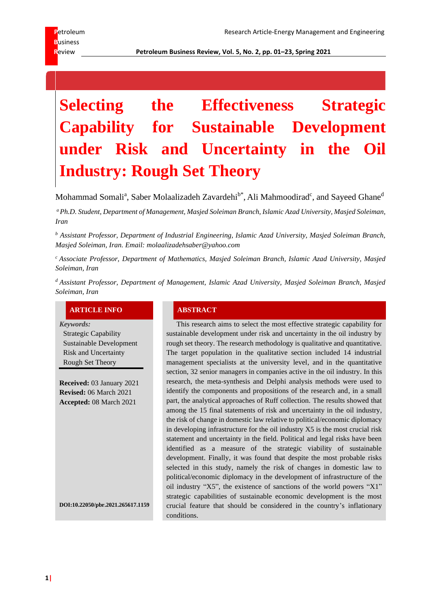**R**eview **Petroleum Business Review, Vol. 5, No. 2, pp. 01–23, Spring 2021**

# **Selecting the Effectiveness Strategic Capability for Sustainable Development under Risk and Uncertainty in the Oil Industry: Rough Set Theory**

Mohammad Somali<sup>a</sup>, Saber Molaalizadeh Zavardehi<sup>b\*</sup>, Ali Mahmoodirad<sup>c</sup>, and Sayeed Ghane<sup>d</sup>

*<sup>a</sup>Ph.D. Student, Department of Management, Masjed Soleiman Branch, Islamic Azad University, Masjed Soleiman, Iran*

*<sup>b</sup> Assistant Professor, Department of Industrial Engineering, Islamic Azad University, Masjed Soleiman Branch, Masjed Soleiman, Iran. Email: molaalizadehsaber@yahoo.com*

*<sup>c</sup> Associate Professor, Department of Mathematics, Masjed Soleiman Branch, Islamic Azad University, Masjed Soleiman, Iran*

*<sup>d</sup> Assistant Professor, Department of Management, Islamic Azad University, Masjed Soleiman Branch, Masjed Soleiman, Iran*

#### **ARTICLE INFO ABSTRACT**

*Keywords:*

Strategic Capability Sustainable Development Risk and Uncertainty Rough Set Theory

**Received:** 03 January 2021 **Revised:** 06 March 2021 **Accepted:** 08 March 2021

**DO[I:10.22050/pbr.2021.265617.1159](https://dx.doi.org/10.22050/pbr.2021.265617.1159)**

This research aims to select the most effective strategic capability for sustainable development under risk and uncertainty in the oil industry by rough set theory. The research methodology is qualitative and quantitative. The target population in the qualitative section included 14 industrial management specialists at the university level, and in the quantitative section, 32 senior managers in companies active in the oil industry. In this research, the meta-synthesis and Delphi analysis methods were used to identify the components and propositions of the research and, in a small part, the analytical approaches of Ruff collection. The results showed that among the 15 final statements of risk and uncertainty in the oil industry, the risk of change in domestic law relative to political/economic diplomacy in developing infrastructure for the oil industry X5 is the most crucial risk statement and uncertainty in the field. Political and legal risks have been identified as a measure of the strategic viability of sustainable development. Finally, it was found that despite the most probable risks selected in this study, namely the risk of changes in domestic law to political/economic diplomacy in the development of infrastructure of the oil industry "X5", the existence of sanctions of the world powers "X1" strategic capabilities of sustainable economic development is the most crucial feature that should be considered in the country's inflationary conditions.

**1|**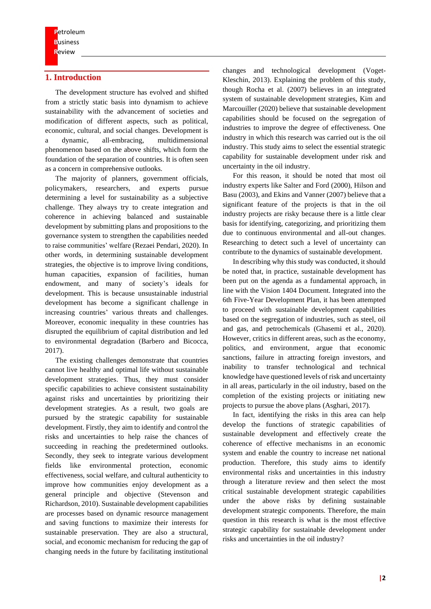# **1. Introduction**

The development structure has evolved and shifted from a strictly static basis into dynamism to achieve sustainability with the advancement of societies and modification of different aspects, such as political, economic, cultural, and social changes. Development is a dynamic, all-embracing, multidimensional phenomenon based on the above shifts, which form the foundation of the separation of countries. It is often seen as a concern in comprehensive outlooks.

The majority of planners, government officials, policymakers, researchers, and experts pursue determining a level for sustainability as a subjective challenge. They always try to create integration and coherence in achieving balanced and sustainable development by submitting plans and propositions to the governance system to strengthen the capabilities needed to raise communities' welfare (Rezaei Pendari, 2020). In other words, in determining sustainable development strategies, the objective is to improve living conditions, human capacities, expansion of facilities, human endowment, and many of society's ideals for development. This is because unsustainable industrial development has become a significant challenge in increasing countries' various threats and challenges. Moreover, economic inequality in these countries has disrupted the equilibrium of capital distribution and led to environmental degradation (Barbero and Bicocca, 2017).

The existing challenges demonstrate that countries cannot live healthy and optimal life without sustainable development strategies. Thus, they must consider specific capabilities to achieve consistent sustainability against risks and uncertainties by prioritizing their development strategies. As a result, two goals are pursued by the strategic capability for sustainable development. Firstly, they aim to identify and control the risks and uncertainties to help raise the chances of succeeding in reaching the predetermined outlooks. Secondly, they seek to integrate various development fields like environmental protection, economic effectiveness, social welfare, and cultural authenticity to improve how communities enjoy development as a general principle and objective (Stevenson and Richardson, 2010). Sustainable development capabilities are processes based on dynamic resource management and saving functions to maximize their interests for sustainable preservation. They are also a structural, social, and economic mechanism for reducing the gap of changing needs in the future by facilitating institutional

changes and technological development (Voget-Kleschin, 2013). Explaining the problem of this study, though Rocha et al. (2007) believes in an integrated system of sustainable development strategies, Kim and Marcouiller (2020) believe that sustainable development capabilities should be focused on the segregation of industries to improve the degree of effectiveness. One industry in which this research was carried out is the oil industry. This study aims to select the essential strategic capability for sustainable development under risk and uncertainty in the oil industry.

For this reason, it should be noted that most oil industry experts like Salter and Ford (2000), Hilson and Basu (2003), and Ekins and Vanner (2007) believe that a significant feature of the projects is that in the oil industry projects are risky because there is a little clear basis for identifying, categorizing, and prioritizing them due to continuous environmental and all-out changes. Researching to detect such a level of uncertainty can contribute to the dynamics of sustainable development.

In describing why this study was conducted, it should be noted that, in practice, sustainable development has been put on the agenda as a fundamental approach, in line with the Vision 1404 Document. Integrated into the 6th Five-Year Development Plan, it has been attempted to proceed with sustainable development capabilities based on the segregation of industries, such as steel, oil and gas, and petrochemicals (Ghasemi et al., 2020). However, critics in different areas, such as the economy, politics, and environment, argue that economic sanctions, failure in attracting foreign investors, and inability to transfer technological and technical knowledge have questioned levels of risk and uncertainty in all areas, particularly in the oil industry, based on the completion of the existing projects or initiating new projects to pursue the above plans (Asghari, 2017).

In fact, identifying the risks in this area can help develop the functions of strategic capabilities of sustainable development and effectively create the coherence of effective mechanisms in an economic system and enable the country to increase net national production. Therefore, this study aims to identify environmental risks and uncertainties in this industry through a literature review and then select the most critical sustainable development strategic capabilities under the above risks by defining sustainable development strategic components. Therefore, the main question in this research is what is the most effective strategic capability for sustainable development under risks and uncertainties in the oil industry?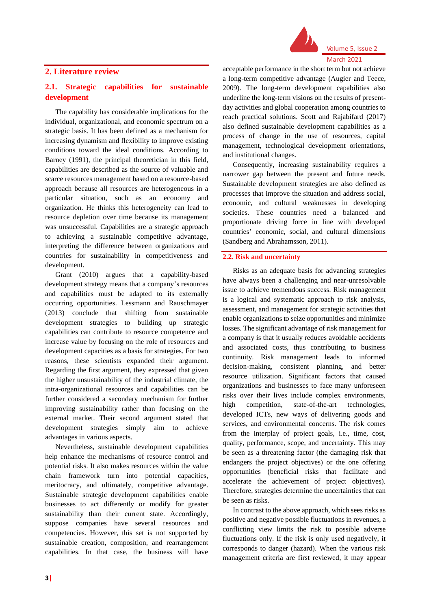

### **2. Literature review**

# **2.1. Strategic capabilities for sustainable development**

The capability has considerable implications for the individual, organizational, and economic spectrum on a strategic basis. It has been defined as a mechanism for increasing dynamism and flexibility to improve existing conditions toward the ideal conditions. According to Barney (1991), the principal theoretician in this field, capabilities are described as the source of valuable and scarce resources management based on a resource-based approach because all resources are heterogeneous in a particular situation, such as an economy and organization. He thinks this heterogeneity can lead to resource depletion over time because its management was unsuccessful. Capabilities are a strategic approach to achieving a sustainable competitive advantage, interpreting the difference between organizations and countries for sustainability in competitiveness and development.

Grant (2010) argues that a capability-based development strategy means that a company's resources and capabilities must be adapted to its externally occurring opportunities. Lessmann and Rauschmayer (2013) conclude that shifting from sustainable development strategies to building up strategic capabilities can contribute to resource competence and increase value by focusing on the role of resources and development capacities as a basis for strategies. For two reasons, these scientists expanded their argument. Regarding the first argument, they expressed that given the higher unsustainability of the industrial climate, the intra-organizational resources and capabilities can be further considered a secondary mechanism for further improving sustainability rather than focusing on the external market. Their second argument stated that development strategies simply aim to achieve advantages in various aspects.

Nevertheless, sustainable development capabilities help enhance the mechanisms of resource control and potential risks. It also makes resources within the value chain framework turn into potential capacities, meritocracy, and ultimately, competitive advantage. Sustainable strategic development capabilities enable businesses to act differently or modify for greater sustainability than their current state. Accordingly, suppose companies have several resources and competencies. However, this set is not supported by sustainable creation, composition, and rearrangement capabilities. In that case, the business will have

acceptable performance in the short term but not achieve a long-term competitive advantage (Augier and Teece, 2009). The long-term development capabilities also underline the long-term visions on the results of presentday activities and global cooperation among countries to reach practical solutions. Scott and Rajabifard (2017) also defined sustainable development capabilities as a process of change in the use of resources, capital management, technological development orientations, and institutional changes.

Consequently, increasing sustainability requires a narrower gap between the present and future needs. Sustainable development strategies are also defined as processes that improve the situation and address social, economic, and cultural weaknesses in developing societies. These countries need a balanced and proportionate driving force in line with developed countries' economic, social, and cultural dimensions (Sandberg and Abrahamsson, 2011).

#### **2.2. Risk and uncertainty**

Risks as an adequate basis for advancing strategies have always been a challenging and near-unresolvable issue to achieve tremendous success. Risk management is a logical and systematic approach to risk analysis, assessment, and management for strategic activities that enable organizations to seize opportunities and minimize losses. The significant advantage of risk management for a company is that it usually reduces avoidable accidents and associated costs, thus contributing to business continuity. Risk management leads to informed decision-making, consistent planning, and better resource utilization. Significant factors that caused organizations and businesses to face many unforeseen risks over their lives include complex environments, high competition, state-of-the-art technologies, developed ICTs, new ways of delivering goods and services, and environmental concerns. The risk comes from the interplay of project goals, i.e., time, cost, quality, performance, scope, and uncertainty. This may be seen as a threatening factor (the damaging risk that endangers the project objectives) or the one offering opportunities (beneficial risks that facilitate and accelerate the achievement of project objectives). Therefore, strategies determine the uncertainties that can be seen as risks.

In contrast to the above approach, which sees risks as positive and negative possible fluctuations in revenues, a conflicting view limits the risk to possible adverse fluctuations only. If the risk is only used negatively, it corresponds to danger (hazard). When the various risk management criteria are first reviewed, it may appear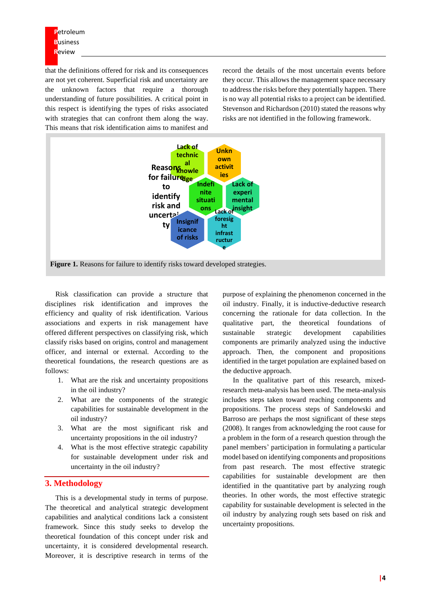that the definitions offered for risk and its consequences are not yet coherent. Superficial risk and uncertainty are the unknown factors that require a thorough understanding of future possibilities. A critical point in this respect is identifying the types of risks associated with strategies that can confront them along the way. This means that risk identification aims to manifest and record the details of the most uncertain events before they occur. This allows the management space necessary to address the risks before they potentially happen. There is no way all potential risks to a project can be identified. Stevenson and Richardson (2010) stated the reasons why risks are not identified in the following framework.



Risk classification can provide a structure that disciplines risk identification and improves the efficiency and quality of risk identification. Various associations and experts in risk management have offered different perspectives on classifying risk, which classify risks based on origins, control and management officer, and internal or external. According to the theoretical foundations, the research questions are as follows:

- 1. What are the risk and uncertainty propositions in the oil industry?
- 2. What are the components of the strategic capabilities for sustainable development in the oil industry?
- 3. What are the most significant risk and uncertainty propositions in the oil industry?
- 4. What is the most effective strategic capability for sustainable development under risk and uncertainty in the oil industry?

#### **3. Methodology**

This is a developmental study in terms of purpose. The theoretical and analytical strategic development capabilities and analytical conditions lack a consistent framework. Since this study seeks to develop the theoretical foundation of this concept under risk and uncertainty, it is considered developmental research. Moreover, it is descriptive research in terms of the

purpose of explaining the phenomenon concerned in the oil industry. Finally, it is inductive-deductive research concerning the rationale for data collection. In the qualitative part, the theoretical foundations of sustainable strategic development capabilities components are primarily analyzed using the inductive approach. Then, the component and propositions identified in the target population are explained based on the deductive approach.

In the qualitative part of this research, mixedresearch meta-analysis has been used. The meta-analysis includes steps taken toward reaching components and propositions. The process steps of Sandelowski and Barroso are perhaps the most significant of these steps (2008). It ranges from acknowledging the root cause for a problem in the form of a research question through the panel members' participation in formulating a particular model based on identifying components and propositions from past research. The most effective strategic capabilities for sustainable development are then identified in the quantitative part by analyzing rough theories. In other words, the most effective strategic capability for sustainable development is selected in the oil industry by analyzing rough sets based on risk and uncertainty propositions.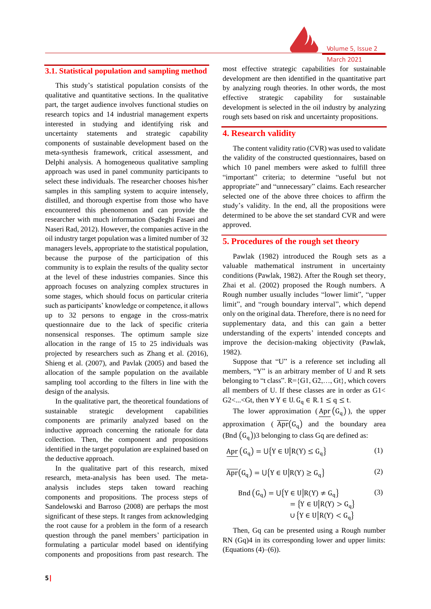

#### **3.1. Statistical population and sampling method**

This study's statistical population consists of the qualitative and quantitative sections. In the qualitative part, the target audience involves functional studies on research topics and 14 industrial management experts interested in studying and identifying risk and uncertainty statements and strategic capability components of sustainable development based on the meta-synthesis framework, critical assessment, and Delphi analysis. A homogeneous qualitative sampling approach was used in panel community participants to select these individuals. The researcher chooses his/her samples in this sampling system to acquire intensely, distilled, and thorough expertise from those who have encountered this phenomenon and can provide the researcher with much information (Sadeghi Fasaei and Naseri Rad, 2012). However, the companies active in the oil industry target population was a limited number of 32 managers levels, appropriate to the statistical population, because the purpose of the participation of this community is to explain the results of the quality sector at the level of these industries companies. Since this approach focuses on analyzing complex structures in some stages, which should focus on particular criteria such as participants' knowledge or competence, it allows up to 32 persons to engage in the cross-matrix questionnaire due to the lack of specific criteria nonsensical responses. The optimum sample size allocation in the range of 15 to 25 individuals was projected by researchers such as Zhang et al. (2016), Shieng et al. (2007), and Pavlak (2005) and based the allocation of the sample population on the available sampling tool according to the filters in line with the design of the analysis.

In the qualitative part, the theoretical foundations of sustainable strategic development capabilities components are primarily analyzed based on the inductive approach concerning the rationale for data collection. Then, the component and propositions identified in the target population are explained based on the deductive approach.

In the qualitative part of this research, mixed research, meta-analysis has been used. The metaanalysis includes steps taken toward reaching components and propositions. The process steps of Sandelowski and Barroso (2008) are perhaps the most significant of these steps. It ranges from acknowledging the root cause for a problem in the form of a research question through the panel members' participation in formulating a particular model based on identifying components and propositions from past research. The

most effective strategic capabilities for sustainable development are then identified in the quantitative part by analyzing rough theories. In other words, the most effective strategic capability for sustainable development is selected in the oil industry by analyzing rough sets based on risk and uncertainty propositions.

#### **4. Research validity**

The content validity ratio (CVR) was used to validate the validity of the constructed questionnaires, based on which 10 panel members were asked to fulfill three "important" criteria; to determine "useful but not appropriate" and "unnecessary" claims. Each researcher selected one of the above three choices to affirm the study's validity. In the end, all the propositions were determined to be above the set standard CVR and were approved.

#### **5. Procedures of the rough set theory**

Pawlak (1982) introduced the Rough sets as a valuable mathematical instrument in uncertainty conditions (Pawlak, 1982). After the Rough set theory, Zhai et al. (2002) proposed the Rough numbers. A Rough number usually includes "lower limit", "upper limit", and "rough boundary interval", which depend only on the original data. Therefore, there is no need for supplementary data, and this can gain a better understanding of the experts' intended concepts and improve the decision-making objectivity (Pawlak, 1982).

Suppose that "U" is a reference set including all members, "Y" is an arbitrary member of U and R sets belonging to "t class".  $R = \{G1, G2, \ldots, Gt\}$ , which covers all members of U. If these classes are in order as G1< G2<...<Gt, then  $\forall Y \in U$ .  $G_q \in R$ .  $1 \le q \le t$ .

The lower approximation (Apr  $(G_q)$ ), the upper approximation ( $\overline{Apr}(G_q)$  and the boundary area (Bnd  $(G_q)$ )3 belonging to class Gq are defined as:

$$
Apr\left(G_q\right) = \bigcup \{ Y \in U \big| R(Y) \le G_q \} \tag{1}
$$

$$
\overline{\text{Apr}}(G_q) = U\{Y \in U | R(Y) \ge G_q\} \tag{2}
$$

$$
\text{Bnd}(G_q) = \bigcup \{ Y \in U | R(Y) \neq G_q \} \tag{3}
$$
\n
$$
= \{ Y \in U | R(Y) > G_q \}
$$
\n
$$
\bigcup \{ Y \in U | R(Y) < G_q \}
$$

Then, Gq can be presented using a Rough number RN (Gq)4 in its corresponding lower and upper limits: (Equations  $(4)$ – $(6)$ ).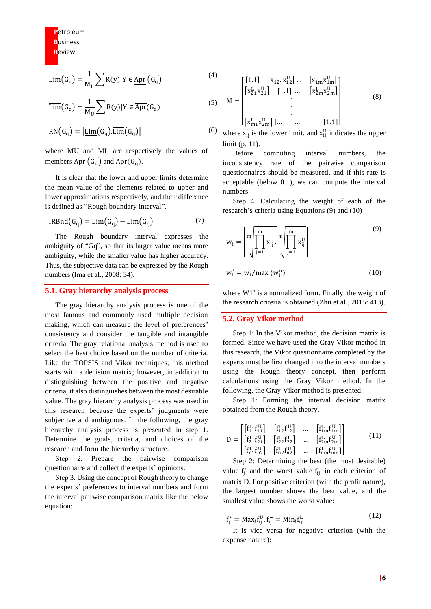$$
\underline{\text{Lim}}(G_q) = \frac{1}{M_L} \sum R(y) | Y \in \underline{\text{Apr}}(G_q)
$$

(4)

(5)

$$
\overline{\text{Lim}}(G_q) = \frac{1}{M_U} \sum R(y) | Y \in \overline{Apr}(G_q)
$$
  

$$
RN(G_q) = [\underline{\text{Lim}}(G_q). \overline{\text{Lim}}(G_q)]
$$

where MU and ML are respectively the values of members Apr  $(G_q)$  and  $\overline{Apr}(G_q)$ .

It is clear that the lower and upper limits determine the mean value of the elements related to upper and lower approximations respectively, and their difference is defined as "Rough boundary interval".

$$
IRBnd(G_q) = \overline{\text{Lim}}(G_q) - \overline{\text{Lim}}(G_q)
$$
 (7)

The Rough boundary interval expresses the ambiguity of "Gq", so that its larger value means more ambiguity, while the smaller value has higher accuracy. Thus, the subjective data can be expressed by the Rough numbers (Ima et al., 2008: 34).

#### **5.1. Gray hierarchy analysis process**

The gray hierarchy analysis process is one of the most famous and commonly used multiple decision making, which can measure the level of preferences' consistency and consider the tangible and intangible criteria. The gray relational analysis method is used to select the best choice based on the number of criteria. Like the TOPSIS and Vikor techniques, this method starts with a decision matrix; however, in addition to distinguishing between the positive and negative criteria, it also distinguishes between the most desirable value. The gray hierarchy analysis process was used in this research because the experts' judgments were subjective and ambiguous. In the following, the gray hierarchy analysis process is presented in step 1. Determine the goals, criteria, and choices of the research and form the hierarchy structure.

Step 2. Prepare the pairwise comparison questionnaire and collect the experts' opinions.

Step 3. Using the concept of Rough theory to change the experts' preferences to interval numbers and form the interval pairwise comparison matrix like the below equation:

$$
M = \begin{bmatrix} \begin{bmatrix} 1.1 & \begin{bmatrix} x_{12}^L & x_{12}^U \end{bmatrix} \dots & \begin{bmatrix} x_{1m}^L & x_{1m}^U \end{bmatrix} \\ \begin{bmatrix} x_{21}^L & x_{21}^U \end{bmatrix} & \begin{bmatrix} 1.1 & \dots & \begin{bmatrix} x_{2m}^L & x_{2m}^U \end{bmatrix} \\ \vdots & \vdots & \ddots & \vdots \\ \begin{bmatrix} x_{m1}^L & x_{2m}^U \end{bmatrix} & \dots & \begin{bmatrix} 1.1 \end{bmatrix} \end{bmatrix} \end{bmatrix} \end{bmatrix} \tag{8}
$$

(6) where  $x_{ij}^L$  is the lower limit, and  $x_{ij}^U$  indicates the upper limit (p. 11).

Before computing interval numbers, the inconsistency rate of the pairwise comparison questionnaires should be measured, and if this rate is acceptable (below 0.1), we can compute the interval numbers.

Step 4. Calculating the weight of each of the research's criteria using Equations (9) and (10)

$$
w_{i} = \left[\prod_{j=1}^{m} x_{ij}^{L} \cdot \prod_{j=1}^{m} x_{ij}^{U}\right]
$$
\n
$$
w'_{i} = w_{i}/\max(w_{i}^{U})
$$
\n(10)

where W1' is a normalized form. Finally, the weight of the research criteria is obtained (Zhu et al., 2015: 413).

#### **5.2. Gray Vikor method**

Step 1: In the Vikor method, the decision matrix is formed. Since we have used the Gray Vikor method in this research, the Vikor questionnaire completed by the experts must be first changed into the interval numbers using the Rough theory concept, then perform calculations using the Gray Vikor method. In the following, the Gray Vikor method is presented:

Step 1: Forming the interval decision matrix obtained from the Rough theory,

$$
D = \begin{bmatrix} f_{11}^{L} f_{11}^{U} & f_{12}^{L} f_{12}^{U} & \dots & f_{1m}^{L} f_{1m}^{U} \\ f_{21}^{L} f_{21}^{U} & f_{22}^{L} f_{22}^{L} & \dots & f_{2m}^{L} f_{2m}^{U} \\ f_{n1}^{L} f_{n2}^{U} & f_{n2}^{L} f_{n2}^{U} & \dots & f_{nm}^{L} f_{nm}^{U} \end{bmatrix}
$$
(11)

Step 2: Determining the best (the most desirable) value  $f_j^*$  and the worst value  $f_{ij}^-$  in each criterion of matrix D. For positive criterion (with the profit nature), the largest number shows the best value, and the smallest value shows the worst value:

$$
f_j^* = \text{Max}_{i} f_{ij}^U . f_{ij}^- = \text{Min}_{i} f_{ij}^L
$$
\n(12)

It is vice versa for negative criterion (with the expense nature):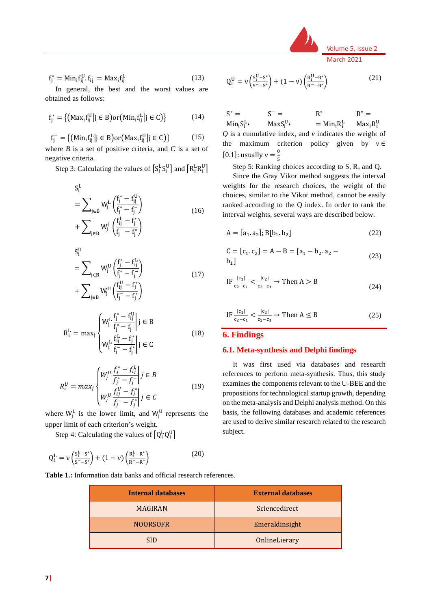

$$
f_j^* = Min_i f_{ij}^U . f_{ij}^- = Max_i f_{ij}^L \tag{13}
$$

In general, the best and the worst values are obtained as follows:

$$
f_j^* = \{ (Max_i f_{ij}^U | j \in B) \text{or} (Min_i f_{ij}^L | j \in C) \}
$$
 (14)

$$
\mathbf{f}_{j}^{-} = \{ (\text{Min}_{i} \mathbf{f}_{ij}^{\text{L}} | j \in B) \text{or} (\text{Max}_{i} \mathbf{f}_{ij}^{\text{U}} | j \in C) \}
$$
(15)

where *B* is a set of positive criteria, and *C* is a set of negative criteria.

Step 3: Calculating the values of  $\left[S_i^L S_i^U\right]$  and  $\left[R_i^L R_i^U\right]$ 

$$
S_i^L
$$
  
=  $\sum_{j \in B} W_j^L \left( \frac{f_j^* - f_{ij}^U}{f_j^* - f_j^-} \right)$   
+  $\sum_{j \in B} W_j^L \left( \frac{f_{ij}^L - f_j^*}{f_j^- - f_j^*} \right)$  (16)

 $S_i^U$ 

$$
= \sum_{j \in B} W_j^U \left( \frac{f_j^* - f_{ij}^L}{f_j^* - f_j^-} \right) + \sum_{j \in B} W_j^U \left( \frac{f_{ij}^U - f_j^*}{f_j^- - f_j^*} \right)
$$
(17)

$$
R_i^L = \max_j \begin{cases} W_j^L \frac{f_j^* - f_{ij}^U}{f_j^* - f_j^-} \middle| j \in B \\ W_j^L \frac{f_{ij}^L - f_j^*}{f_j^- - f_j^*} \middle| j \in C \end{cases} \tag{18}
$$

$$
R_i^U = max_j \begin{cases} W_j^U \frac{f_j^* - f_{ij}^L}{f_j^* - f_j^-} \middle| j \in B \\ W_j^U \frac{f_{ij}^U - f_j^*}{f_j^- - f_j^*} \middle| j \in C \end{cases}
$$
 (19)

where  $W_j^L$  is the lower limit, and  $W_j^U$  represents the upper limit of each criterion's weight.

Step 4: Calculating the values of  $\left[Q_i^LQ_i^U\right]$ 

$$
Q_i^L = \nu \left( \frac{S_i^L - S^*}{S^- - S^*} \right) + (1 - \nu) \left( \frac{R_i^L - R^*}{R^- - R^*} \right)
$$
 (20)

$$
Q_i^U = \nu \left( \frac{s_i^U - s^*}{s^- - s^*} \right) + (1 - \nu) \left( \frac{R_i^U - R^*}{R^- - R^*} \right) \tag{21}
$$

 $S^* =$  $Min_i S_i^L$  $S^- =$  $MaxS_i^U$ R ∗  $=$  Min<sub>i</sub> $R_i^L$  $R^* =$  $Max_iR_i^U$ *Q* is a cumulative index, and *v* indicates the weight of the maximum criterion policy given by  $v \in$ [0.1]: usually  $v = \frac{0}{5}$ 

Step 5: Ranking choices according to S, R, and Q.

5

Since the Gray Vikor method suggests the interval weights for the research choices, the weight of the choices, similar to the Vikor method, cannot be easily ranked according to the Q index. In order to rank the interval weights, several ways are described below.

$$
A = [a_1, a_2]; B[b_1, b_2]
$$
 (22)

$$
C = [c_1, c_2] = A - B = [a_1 - b_2, a_2 - b_1]
$$
\n(23)

$$
IF \frac{|c_1|}{c_2 - c_1} < \frac{|c_2|}{c_2 - c_1} \to \text{Then } A > B
$$
 (24)

$$
IF \frac{|c_1|}{c_2 - c_1} < \frac{|c_2|}{c_2 - c_1} \to \text{Then } A \leq B
$$
 (25)

#### **6. Findings**

#### **6.1. Meta-synthesis and Delphi findings**

It was first used via databases and research references to perform meta-synthesis. Thus, this study examines the components relevant to the U-BEE and the propositions for technological startup growth, depending on the meta-analysis and Delphi analysis method. On this basis, the following databases and academic references are used to derive similar research related to the research subject.

**Table 1.:** Information data banks and official research references.

| <b>Internal databases</b> | <b>External databases</b> |
|---------------------------|---------------------------|
| <b>MAGIRAN</b>            | Sciencedirect             |
| <b>NOORSOFR</b>           | Emeraldinsight            |
| SID.                      | OnlineLierary             |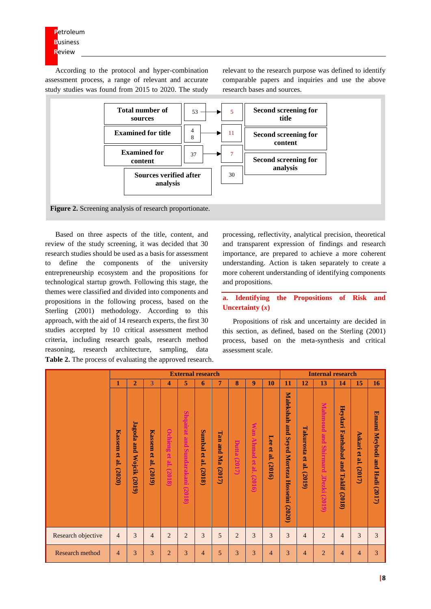According to the protocol and hyper-combination assessment process, a range of relevant and accurate study studies was found from 2015 to 2020. The study

relevant to the research purpose was defined to identify comparable papers and inquiries and use the above research bases and sources.



Based on three aspects of the title, content, and review of the study screening, it was decided that 30 research studies should be used as a basis for assessment to define the components of the university entrepreneurship ecosystem and the propositions for technological startup growth. Following this stage, the themes were classified and divided into components and propositions in the following process, based on the Sterling (2001) methodology. According to this approach, with the aid of 14 research experts, the first 30 studies accepted by 10 critical assessment method criteria, including research goals, research method reasoning, research architecture, sampling, data **Table 2.** The process of evaluating the approved research.

processing, reflectivity, analytical precision, theoretical and transparent expression of findings and research importance, are prepared to achieve a more coherent understanding. Action is taken separately to create a more coherent understanding of identifying components and propositions.

#### **a. Identifying the Propositions of Risk and Uncertainty (***x***)**

Propositions of risk and uncertainty are decided in this section, as defined, based on the Sterling (2001) process, based on the meta-synthesis and critical assessment scale.

|                        |                            |                                   |                                      |                                      | <b>External research</b>              |                            |                     |                 |                                                |                          | <b>Internal research</b>                                                 |                                                 |                                                     |                                                               |                                                               |                                           |  |  |
|------------------------|----------------------------|-----------------------------------|--------------------------------------|--------------------------------------|---------------------------------------|----------------------------|---------------------|-----------------|------------------------------------------------|--------------------------|--------------------------------------------------------------------------|-------------------------------------------------|-----------------------------------------------------|---------------------------------------------------------------|---------------------------------------------------------------|-------------------------------------------|--|--|
|                        | 1                          | $\overline{2}$                    | 3                                    | 4                                    | 5                                     | 6                          | 7                   | 8               | 9                                              | 10                       | 11                                                                       | 12                                              | 13                                                  | 14                                                            | 15                                                            | <b>16</b>                                 |  |  |
|                        | Kassem<br>et al.<br>(2020) | Jagoda<br>and<br>Wojcik<br>(2019) | <b>Kassem</b><br>g.<br>al.<br>(2019) | <b>Ochieng</b><br>œ<br>al.<br>(2018) | Shqairat<br>pue<br>Sundarakani (2018) | Sumbal<br>et al.<br>(2018) | Tan and Ma $(2017)$ | Dutta<br>(2017) | <b>Wan</b><br><b>Ahmad</b><br>et al.<br>(2016) | Lee<br>g<br>e.<br>(2016) | Malekshah<br>pue<br><b>Seyed</b><br>Morteza<br><b>Hosseini</b><br>(2020) | Takurosta<br>$\mathbf{e}$<br>٣.<br><b>(2019</b> | <b>Mahmoud and Shirmard</b><br><b>JDezki</b> (2019) | Heydari<br><b>Fatehabad</b><br>and<br>Takli<br>i ta<br>(2018) | $\triangleright$<br>skari <sub></sub><br>ዌ<br>ø<br>⊨<br>(2017 | Emami<br>Meybodi<br>pum<br>Hadi<br>(2017) |  |  |
| Research objective     | $\overline{4}$             | 3                                 | $\overline{4}$                       | $\overline{2}$                       | $\overline{2}$                        | 3                          | 5                   | $\overline{2}$  | 3                                              | 3                        | 3                                                                        | 4                                               | $\overline{2}$                                      | $\overline{4}$                                                | 3                                                             | 3                                         |  |  |
| <b>Research method</b> | 4                          | 3                                 | 3                                    | $\overline{2}$                       | 3                                     | 4                          | 5                   | 3               | 3                                              | $\overline{4}$           | 3                                                                        | 4                                               | $\overline{2}$                                      | 4                                                             | 4                                                             | 3                                         |  |  |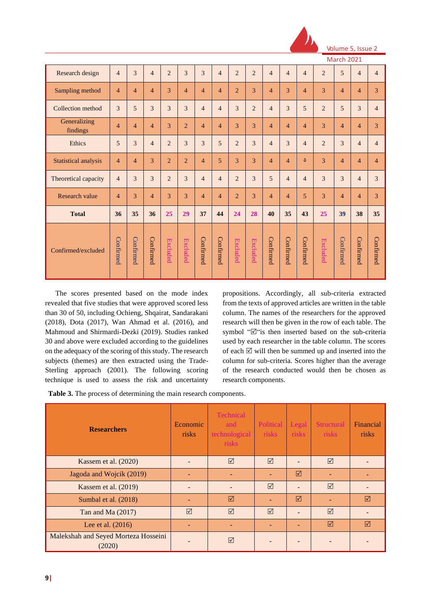

Volume 5, Issue

 $Ma$ 

| Research design          | $\overline{4}$ | 3              | $\overline{4}$ | $\overline{c}$          | 3              | 3              | $\overline{4}$ | $\overline{2}$  | $\overline{2}$  | $\overline{4}$             | $\overline{4}$             | $\overline{4}$             | $\overline{2}$  | 5              | $\overline{4}$ | $\overline{4}$ |
|--------------------------|----------------|----------------|----------------|-------------------------|----------------|----------------|----------------|-----------------|-----------------|----------------------------|----------------------------|----------------------------|-----------------|----------------|----------------|----------------|
| Sampling method          | $\overline{4}$ | $\overline{4}$ | $\overline{4}$ | 3                       | $\overline{4}$ | $\overline{4}$ | $\overline{4}$ | $\overline{2}$  | 3               | $\overline{4}$             | 3                          | $\overline{4}$             | 3               | $\overline{4}$ | $\overline{4}$ | 3              |
| Collection method        | 3              | 5              | 3              | $\overline{\mathbf{3}}$ | 3              | $\overline{4}$ | $\overline{4}$ | 3               | $\overline{2}$  | $\overline{4}$             | 3                          | 5                          | $\overline{2}$  | 5              | 3              | $\overline{4}$ |
| Generalizing<br>findings | $\overline{4}$ | $\overline{4}$ | $\overline{4}$ | 3                       | $\overline{2}$ | $\overline{4}$ | $\overline{4}$ | 3               | 3               | $\overline{4}$             | $\overline{4}$             | $\overline{4}$             | 3               | $\overline{4}$ | $\overline{4}$ | 3              |
| Ethics                   | 5              | 3              | $\overline{4}$ | $\overline{2}$          | 3              | 3              | 5              | $\overline{2}$  | 3               | $\overline{4}$             | 3                          | $\overline{4}$             | $\overline{2}$  | 3              | $\overline{4}$ | $\overline{4}$ |
| Statistical analysis     | $\overline{4}$ | $\overline{4}$ | 3              | $\overline{c}$          | $\overline{2}$ | $\overline{4}$ | 5              | 3               | 3               | $\overline{4}$             | $\overline{4}$             | ۵                          | 3               | $\overline{4}$ | $\overline{4}$ | $\overline{4}$ |
| Theoretical capacity     | $\overline{4}$ | 3              | 3              | $\overline{2}$          | 3              | $\overline{4}$ | $\overline{4}$ | $\overline{2}$  | 3               | 5                          | $\overline{4}$             | $\overline{4}$             | 3               | 3              | $\overline{4}$ | 3              |
| Research value           | $\overline{4}$ | 3              | $\overline{4}$ | 3                       | 3              | $\overline{4}$ | $\overline{4}$ | $\overline{2}$  | 3               | $\overline{4}$             | $\overline{4}$             | 5                          | 3               | $\overline{4}$ | $\overline{4}$ | 3              |
| <b>Total</b>             | 36             | 35             | 36             | 25                      | 29             | 37             | 44             | 24              | 28              | 40                         | 35                         | 43                         | 25              | 39             | 38             | 35             |
| Confirmed/excluded       | Confirmed      | Confirmed      | Confirmed      | <b>Excluded</b>         | Excluded       | Confirmed      | Confirmed      | <b>Excluded</b> | <b>Excluded</b> | $\operatorname{Continmed}$ | $\operatorname{Continmed}$ | $\operatorname{Continmed}$ | <b>Excluded</b> | Confirmed      | Confirmed      | Confirmed      |

The scores presented based on the mode index revealed that five studies that were approved scored less than 30 of 50, including Ochieng, Shqairat, Sandarakani (2018), Dota (2017), Wan Ahmad et al. (2016), and Mahmoud and Shirmardi-Dezki (2019). Studies ranked 30 and above were excluded according to the guidelines on the adequacy of the scoring of this study. The research subjects (themes) are then extracted using the Trade-Sterling approach (2001). The following scoring technique is used to assess the risk and uncertainty

propositions. Accordingly, all sub-criteria extracted from the texts of approved articles are written in the table column. The names of the researchers for the approved research will then be given in the row of each table. The symbol ""is then inserted based on the sub-criteria used by each researcher in the table column. The scores of each  $\boxtimes$  will then be summed up and inserted into the column for sub-criteria. Scores higher than the average of the research conducted would then be chosen as research components.

**Table 3.** The process of determining the main research components.

| <b>Researchers</b>                             | Economic<br>risks | Technical<br>and<br>technological<br>risks | Political<br>risks | Legal<br>risks | <b>Structural</b><br>risks | Financial<br>risks |
|------------------------------------------------|-------------------|--------------------------------------------|--------------------|----------------|----------------------------|--------------------|
| Kassem et al. (2020)                           |                   | $\triangledown$                            | $\triangledown$    |                | $\triangledown$            |                    |
| Jagoda and Wojcik (2019)                       |                   |                                            |                    | ☑              |                            |                    |
| Kassem et al. (2019)                           |                   |                                            | $\triangledown$    |                | $\triangledown$            |                    |
| Sumbal et al. (2018)                           |                   | $\triangledown$                            |                    | ☑              |                            | ⊠                  |
| Tan and Ma $(2017)$                            | $\triangledown$   | $\triangledown$                            | $\triangledown$    |                | $\triangledown$            |                    |
| Lee et al. (2016)                              |                   |                                            |                    |                | $\triangledown$            | ⊠                  |
| Malekshah and Seyed Morteza Hosseini<br>(2020) |                   | $\triangledown$                            |                    |                |                            |                    |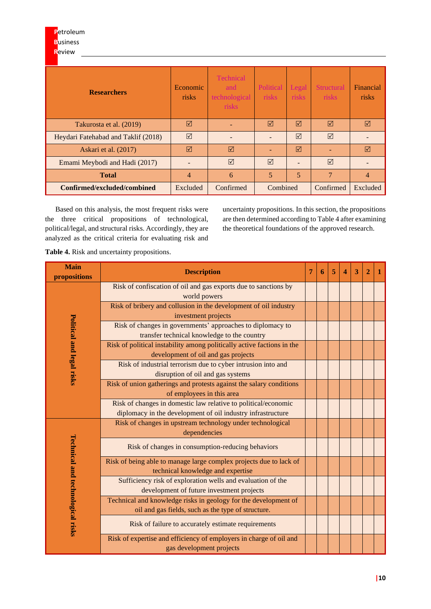| <b>Researchers</b>                  | <b>Technical</b><br>Economic<br>and<br>risks<br>technological<br><i>risks</i> |                 | Political<br>risks | Legal<br>risks  | <b>Structural</b><br>risks | Financial<br>risks |
|-------------------------------------|-------------------------------------------------------------------------------|-----------------|--------------------|-----------------|----------------------------|--------------------|
| Takurosta et al. (2019)             | ☑                                                                             |                 | ☑                  | ⊠               | ☑                          | $\triangledown$    |
| Heydari Fatehabad and Taklif (2018) | $\triangledown$                                                               |                 |                    | $\triangledown$ | $\triangledown$            |                    |
| Askari et al. (2017)                | $\triangledown$                                                               | ☑               |                    | $\triangledown$ |                            | $\triangledown$    |
| Emami Meybodi and Hadi (2017)       |                                                                               | $\triangledown$ | $\triangledown$    |                 | $\triangledown$            |                    |
| <b>Total</b>                        | 4                                                                             | 6               | 5                  | 5               | $\overline{7}$             | $\overline{4}$     |
| Confirmed/excluded/combined         | Excluded                                                                      | Confirmed       | Combined           |                 | Confirmed                  | Excluded           |

Based on this analysis, the most frequent risks were the three critical propositions of technological, political/legal, and structural risks. Accordingly, they are analyzed as the critical criteria for evaluating risk and

uncertainty propositions. In this section, the propositions are then determined according to Table 4 after examining the theoretical foundations of the approved research.

**Table 4.** Risk and uncertainty propositions.

| <b>Main</b><br>propositions       | <b>Description</b>                                                     | 7 | 6 | 5 | $\boldsymbol{A}$ | 3 | 2 |  |
|-----------------------------------|------------------------------------------------------------------------|---|---|---|------------------|---|---|--|
|                                   | Risk of confiscation of oil and gas exports due to sanctions by        |   |   |   |                  |   |   |  |
|                                   | world powers                                                           |   |   |   |                  |   |   |  |
|                                   | Risk of bribery and collusion in the development of oil industry       |   |   |   |                  |   |   |  |
|                                   | investment projects                                                    |   |   |   |                  |   |   |  |
|                                   | Risk of changes in governments' approaches to diplomacy to             |   |   |   |                  |   |   |  |
|                                   | transfer technical knowledge to the country                            |   |   |   |                  |   |   |  |
| Political and legal risks         | Risk of political instability among politically active factions in the |   |   |   |                  |   |   |  |
|                                   | development of oil and gas projects                                    |   |   |   |                  |   |   |  |
|                                   | Risk of industrial terrorism due to cyber intrusion into and           |   |   |   |                  |   |   |  |
|                                   | disruption of oil and gas systems                                      |   |   |   |                  |   |   |  |
|                                   | Risk of union gatherings and protests against the salary conditions    |   |   |   |                  |   |   |  |
|                                   | of employees in this area                                              |   |   |   |                  |   |   |  |
|                                   | Risk of changes in domestic law relative to political/economic         |   |   |   |                  |   |   |  |
|                                   | diplomacy in the development of oil industry infrastructure            |   |   |   |                  |   |   |  |
|                                   | Risk of changes in upstream technology under technological             |   |   |   |                  |   |   |  |
|                                   | dependencies                                                           |   |   |   |                  |   |   |  |
|                                   | Risk of changes in consumption-reducing behaviors                      |   |   |   |                  |   |   |  |
|                                   | Risk of being able to manage large complex projects due to lack of     |   |   |   |                  |   |   |  |
|                                   | technical knowledge and expertise                                      |   |   |   |                  |   |   |  |
|                                   | Sufficiency risk of exploration wells and evaluation of the            |   |   |   |                  |   |   |  |
|                                   | development of future investment projects                              |   |   |   |                  |   |   |  |
|                                   | Technical and knowledge risks in geology for the development of        |   |   |   |                  |   |   |  |
|                                   | oil and gas fields, such as the type of structure.                     |   |   |   |                  |   |   |  |
| Technical and technological risks | Risk of failure to accurately estimate requirements                    |   |   |   |                  |   |   |  |
|                                   | Risk of expertise and efficiency of employers in charge of oil and     |   |   |   |                  |   |   |  |
|                                   | gas development projects                                               |   |   |   |                  |   |   |  |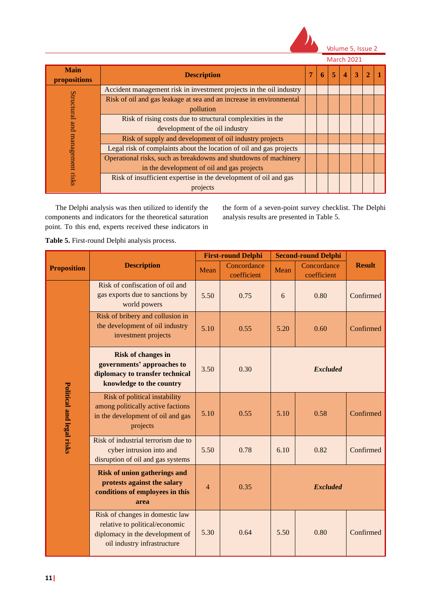

Volume 5, Issue 2

|  |  | March 207 |  |  |
|--|--|-----------|--|--|
|--|--|-----------|--|--|

| <b>Main</b><br>propositions | <b>Description</b>                                                  | 7 | 6 | 5 | $\boldsymbol{4}$ | 3 |  |
|-----------------------------|---------------------------------------------------------------------|---|---|---|------------------|---|--|
|                             | Accident management risk in investment projects in the oil industry |   |   |   |                  |   |  |
| Structural                  | Risk of oil and gas leakage at sea and an increase in environmental |   |   |   |                  |   |  |
|                             | pollution                                                           |   |   |   |                  |   |  |
|                             | Risk of rising costs due to structural complexities in the          |   |   |   |                  |   |  |
| and                         | development of the oil industry                                     |   |   |   |                  |   |  |
|                             | Risk of supply and development of oil industry projects             |   |   |   |                  |   |  |
| management                  | Legal risk of complaints about the location of oil and gas projects |   |   |   |                  |   |  |
|                             | Operational risks, such as breakdowns and shutdowns of machinery    |   |   |   |                  |   |  |
|                             | in the development of oil and gas projects                          |   |   |   |                  |   |  |
| risks                       | Risk of insufficient expertise in the development of oil and gas    |   |   |   |                  |   |  |
|                             | projects                                                            |   |   |   |                  |   |  |

The Delphi analysis was then utilized to identify the components and indicators for the theoretical saturation point. To this end, experts received these indicators in the form of a seven-point survey checklist. The Delphi analysis results are presented in Table 5.

**Table 5.** First-round Delphi analysis process.

|                           |                                                                                                                                     |      | <b>First-round Delphi</b>  |                 | <b>Second-round Delphi</b> |               |  |  |
|---------------------------|-------------------------------------------------------------------------------------------------------------------------------------|------|----------------------------|-----------------|----------------------------|---------------|--|--|
| <b>Proposition</b>        | <b>Description</b>                                                                                                                  | Mean | Concordance<br>coefficient | Mean            | Concordance<br>coefficient | <b>Result</b> |  |  |
|                           | Risk of confiscation of oil and<br>gas exports due to sanctions by<br>world powers                                                  | 5.50 | 0.75                       | 6               | 0.80                       | Confirmed     |  |  |
|                           | Risk of bribery and collusion in<br>the development of oil industry<br>investment projects                                          | 5.10 | 0.55                       | 5.20            | 0.60                       | Confirmed     |  |  |
|                           | <b>Risk of changes in</b><br>governments' approaches to<br>diplomacy to transfer technical<br>knowledge to the country              | 3.50 | 0.30                       | <b>Excluded</b> |                            |               |  |  |
| Political and legal risks | Risk of political instability<br>among politically active factions<br>in the development of oil and gas<br>projects                 | 5.10 | 0.55                       | 5.10            | 0.58                       | Confirmed     |  |  |
|                           | Risk of industrial terrorism due to<br>cyber intrusion into and<br>disruption of oil and gas systems                                | 5.50 | 0.78                       | 6.10            | 0.82                       | Confirmed     |  |  |
|                           | <b>Risk of union gatherings and</b><br>protests against the salary<br>conditions of employees in this<br>area                       | 4    | 0.35                       | <b>Excluded</b> |                            |               |  |  |
|                           | Risk of changes in domestic law<br>relative to political/economic<br>diplomacy in the development of<br>oil industry infrastructure | 5.30 | 0.64                       | 5.50            | 0.80                       | Confirmed     |  |  |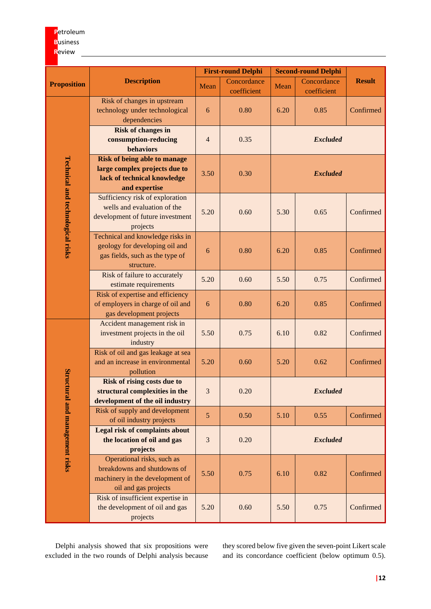# **P**etroleum **B**usiness

# **R**eview

|                                   |                                                                                                                      |                | <b>First-round Delphi</b>  |                 | <b>Second-round Delphi</b> |               |  |  |  |  |
|-----------------------------------|----------------------------------------------------------------------------------------------------------------------|----------------|----------------------------|-----------------|----------------------------|---------------|--|--|--|--|
| <b>Proposition</b>                | <b>Description</b>                                                                                                   | Mean           | Concordance<br>coefficient | Mean            | Concordance<br>coefficient | <b>Result</b> |  |  |  |  |
|                                   | Risk of changes in upstream<br>technology under technological<br>dependencies                                        | 6              | 0.80                       | 6.20            | 0.85                       | Confirmed     |  |  |  |  |
|                                   | <b>Risk of changes in</b><br>consumption-reducing<br><b>behaviors</b>                                                | $\overline{4}$ | 0.35                       | <b>Excluded</b> |                            |               |  |  |  |  |
|                                   | <b>Risk of being able to manage</b><br>large complex projects due to<br>lack of technical knowledge<br>and expertise | 3.50           | 0.30                       |                 | <b>Excluded</b>            |               |  |  |  |  |
| Technical and technological risks | Sufficiency risk of exploration<br>wells and evaluation of the<br>development of future investment<br>projects       | 5.20           | 0.60                       | 5.30            | 0.65                       | Confirmed     |  |  |  |  |
|                                   | Technical and knowledge risks in<br>geology for developing oil and<br>gas fields, such as the type of<br>structure.  | 6              | 0.80                       | 6.20            | 0.85                       | Confirmed     |  |  |  |  |
|                                   | Risk of failure to accurately<br>estimate requirements                                                               | 5.20           | 0.60                       | 5.50            | 0.75                       | Confirmed     |  |  |  |  |
|                                   | Risk of expertise and efficiency<br>of employers in charge of oil and<br>gas development projects                    | 6              | 0.80                       | 6.20            | 0.85                       | Confirmed     |  |  |  |  |
|                                   | Accident management risk in<br>investment projects in the oil<br>industry                                            | 5.50           | 0.75                       | 6.10            | 0.82                       | Confirmed     |  |  |  |  |
|                                   | Risk of oil and gas leakage at sea<br>and an increase in environmental<br>pollution                                  | 5.20           | 0.60                       | 5.20            | 0.62                       | Confirmed     |  |  |  |  |
|                                   | <b>Risk of rising costs due to</b><br>structural complexities in the<br>development of the oil industry              | 3              | 0.20                       |                 | <b>Excluded</b>            |               |  |  |  |  |
|                                   | Risk of supply and development<br>of oil industry projects                                                           | 5              | 0.50                       | 5.10            | 0.55                       | Confirmed     |  |  |  |  |
| Structural and management risks   | Legal risk of complaints about<br>the location of oil and gas<br>projects                                            | $\mathfrak{Z}$ | 0.20                       |                 | <b>Excluded</b>            |               |  |  |  |  |
|                                   | Operational risks, such as<br>breakdowns and shutdowns of<br>machinery in the development of<br>oil and gas projects | 5.50           | 0.75                       | 6.10            | 0.82                       | Confirmed     |  |  |  |  |
|                                   | Risk of insufficient expertise in<br>the development of oil and gas<br>projects                                      | 5.20           | 0.60                       | 5.50            | 0.75                       | Confirmed     |  |  |  |  |

Delphi analysis showed that six propositions were excluded in the two rounds of Delphi analysis because they scored below five given the seven-point Likert scale and its concordance coefficient (below optimum 0.5).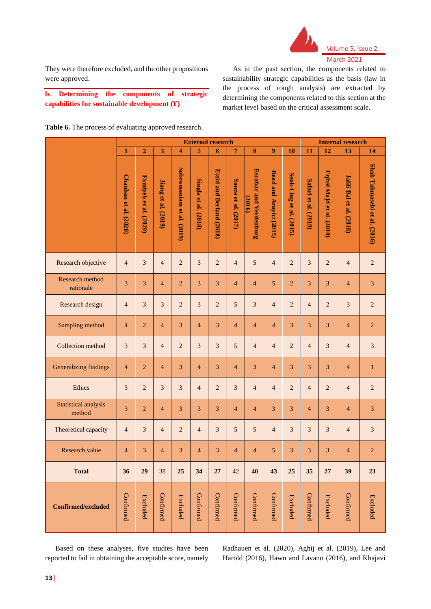

They were therefore excluded, and the other propositions were approved.

**b. Determining the components of strategic capabilities for sustainable development ()**

As in the past section, the components related to sustainability strategic capabilities as the basis (law in the process of rough analysis) are extracted by determining the components related to this section at the market level based on the critical assessment scale.

**Table 6.** The process of evaluating approved research.

|                                | <b>External research</b> |                       |                            |                           |                      |                          |                     |                                         |                         |                         | <b>Internal research</b> |                          |                                 |                              |  |  |
|--------------------------------|--------------------------|-----------------------|----------------------------|---------------------------|----------------------|--------------------------|---------------------|-----------------------------------------|-------------------------|-------------------------|--------------------------|--------------------------|---------------------------------|------------------------------|--|--|
|                                | $\mathbf{1}$             | $\overline{2}$        | 3                          | $\overline{\mathbf{4}}$   | 5                    | 6                        | $7\phantom{.0}$     | $\bf{8}$                                | 9                       | 10                      | 11                       | $\overline{12}$          | 13                              | 14                           |  |  |
|                                | Chauhan et al. (2020)    | Famiyeh et al. (2020) | <b>Jiang et al.</b> (2019) | Subramaniam et al. (2019) | Singla et al. (2018) | Essid and Berland (2018) | Souza et al. (2017) | <b>Escobar and Verdenburg</b><br>(2016) | Read and Arayici (2015) | Sook-Ling et al. (2015) | Safari et al. (2019)     | Eqbal Majd et al. (2018) | <b>Jalili Bal et al. (2018)</b> | Shah Tahmasebi et al. (2016) |  |  |
| Research objective             | $\overline{4}$           | $\overline{3}$        | $\overline{4}$             | $\overline{c}$            | $\overline{3}$       | $\overline{2}$           | $\overline{4}$      | $\sqrt{5}$                              | $\overline{4}$          | $\overline{2}$          | $\overline{3}$           | $\overline{2}$           | $\overline{4}$                  | $\sqrt{2}$                   |  |  |
| Research method<br>rationale   | $\overline{3}$           | 3                     | $\overline{4}$             | $\overline{2}$            | $\overline{3}$       | $\overline{3}$           | $\overline{4}$      | $\overline{4}$                          | 5                       | $\overline{c}$          | 3                        | 3                        | $\overline{4}$                  | 3                            |  |  |
| Research design                | $\overline{4}$           | 3                     | $\overline{3}$             | $\sqrt{2}$                | 3                    | $\sqrt{2}$               | 5                   | 3                                       | $\overline{4}$          | $\overline{c}$          | $\overline{4}$           | $\overline{2}$           | $\mathfrak{Z}$                  | $\overline{2}$               |  |  |
| Sampling method                | $\overline{4}$           | $\overline{2}$        | $\overline{4}$             | $\overline{3}$            | $\overline{4}$       | $\overline{3}$           | $\overline{4}$      | $\overline{4}$                          | $\overline{4}$          | $\overline{3}$          | $\overline{3}$           | 3                        | $\overline{4}$                  | $\overline{2}$               |  |  |
| Collection method              | $\overline{3}$           | $\overline{3}$        | $\overline{4}$             | $\overline{c}$            | $\overline{3}$       | $\overline{3}$           | 5                   | $\overline{4}$                          | $\overline{4}$          | $\overline{c}$          | $\overline{4}$           | $\mathfrak{Z}$           | $\overline{4}$                  | $\mathfrak{Z}$               |  |  |
| Generalizing findings          | $\overline{4}$           | $\overline{2}$        | $\overline{4}$             | $\overline{3}$            | $\overline{4}$       | $\overline{3}$           | $\overline{4}$      | 3                                       | $\overline{4}$          | 3                       | $\overline{3}$           | 3                        | $\overline{4}$                  | $\,1\,$                      |  |  |
| Ethics                         | $\overline{3}$           | $\overline{c}$        | $\overline{3}$             | $\mathfrak{Z}$            | $\overline{4}$       | $\overline{2}$           | $\overline{3}$      | $\overline{4}$                          | $\overline{4}$          | $\overline{c}$          | $\overline{4}$           | $\overline{c}$           | $\overline{4}$                  | $\sqrt{2}$                   |  |  |
| Statistical analysis<br>method | 3                        | $\overline{2}$        | $\overline{4}$             | 3                         | 3                    | 3                        | $\overline{4}$      | $\overline{4}$                          | 3                       | 3                       | $\overline{4}$           | 3                        | $\overline{4}$                  | 3                            |  |  |
| Theoretical capacity           | $\overline{4}$           | $\overline{3}$        | $\overline{4}$             | $\sqrt{2}$                | $\overline{4}$       | $\overline{3}$           | 5                   | $\sqrt{5}$                              | $\overline{4}$          | 3                       | $\mathfrak{Z}$           | $\mathfrak{Z}$           | $\overline{4}$                  | $\sqrt{3}$                   |  |  |
| Research value                 | $\overline{4}$           | 3                     | $\overline{4}$             | 3                         | $\overline{4}$       | 3                        | $\overline{4}$      | $\overline{4}$                          | 5                       | 3                       | 3                        | 3                        | $\overline{4}$                  | $\overline{c}$               |  |  |
| <b>Total</b>                   | 36                       | 29                    | 38                         | 25                        | 34                   | 27                       | 42                  | 40                                      | 43                      | 25                      | 35                       | 27                       | 39                              | 23                           |  |  |
| Confirmed/excluded             | Confirmed                | <b>Excluded</b>       | Confirmed                  | <b>Excluded</b>           | Confirmed            | Confirmed                | Confirmed           | Confirmed                               | Confirmed               | <b>Excluded</b>         | Confirmed                | <b>Excluded</b>          | Confirmed                       | <b>Excluded</b>              |  |  |

Based on these analyses, five studies have been reported to fail in obtaining the acceptable score, namely Radhauen et al. (2020), Aghij et al. (2019), Lee and Harold (2016), Hawn and Lavano (2016), and Khajavi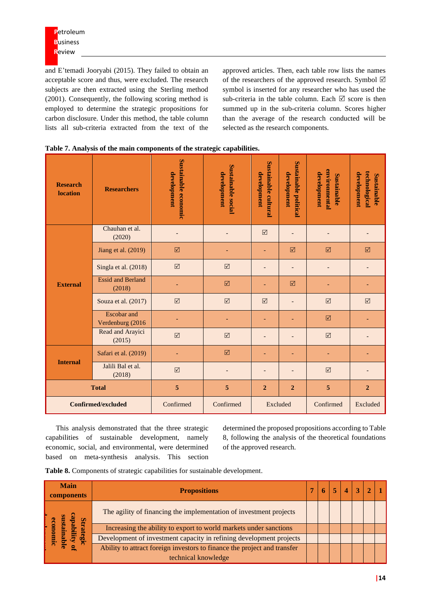and E'temadi Jooryabi (2015). They failed to obtain an acceptable score and thus, were excluded. The research subjects are then extracted using the Sterling method (2001). Consequently, the following scoring method is employed to determine the strategic propositions for carbon disclosure. Under this method, the table column lists all sub-criteria extracted from the text of the

approved articles. Then, each table row lists the names of the researchers of the approved research. Symbol  $\boxtimes$ symbol is inserted for any researcher who has used the sub-criteria in the table column. Each  $\boxtimes$  score is then summed up in the sub-criteria column. Scores higher than the average of the research conducted will be selected as the research components.

| <b>Research</b><br><b>location</b> | <b>Researchers</b>                     | Sustainable economic<br>development | <b>Sustainable social</b><br>development | <b>Sustainable cultural</b><br>development | <b>Sustainable political</b><br>development | environmental<br>development<br>Sustainable | technological<br>development<br>Sustainable |
|------------------------------------|----------------------------------------|-------------------------------------|------------------------------------------|--------------------------------------------|---------------------------------------------|---------------------------------------------|---------------------------------------------|
|                                    | Chauhan et al.<br>(2020)               |                                     |                                          | ☑                                          |                                             |                                             |                                             |
| <b>External</b>                    | Jiang et al. (2019)                    | ☑                                   |                                          | ٠                                          | $\triangledown$                             | ☑                                           | ☑                                           |
|                                    | Singla et al. (2018)                   | $\boxtimes$                         | $\boxtimes$                              |                                            | -                                           |                                             |                                             |
|                                    | <b>Essid and Berland</b><br>(2018)     |                                     | ☑                                        |                                            | ☑                                           |                                             |                                             |
|                                    | Souza et al. (2017)                    | $\boxtimes$                         | $\boxtimes$                              | $\triangledown$                            | -                                           | $\triangledown$                             | $\triangledown$                             |
|                                    | <b>Escobar</b> and<br>Verdenburg (2016 |                                     |                                          | $\overline{\phantom{0}}$                   |                                             | ☑                                           |                                             |
|                                    | Read and Arayici<br>(2015)             | $\boxtimes$                         | $\boxed{\mathcal{S}}$                    |                                            |                                             | $\triangledown$                             |                                             |
| <b>Internal</b>                    | Safari et al. (2019)                   | ٠                                   | $\boxed{\mathbf{v}}$                     | ٠                                          | ۰                                           | ٠                                           |                                             |
|                                    | Jalili Bal et al.<br>(2018)            | $\boxtimes$                         |                                          |                                            |                                             | $\triangledown$                             |                                             |
|                                    | <b>Total</b>                           | 5                                   | 5                                        | $\boldsymbol{2}$<br>$\boldsymbol{2}$       |                                             | $\overline{5}$                              | $\overline{2}$                              |
|                                    | <b>Confirmed/excluded</b>              | Confirmed                           | Confirmed                                | Excluded                                   |                                             | Confirmed                                   | Excluded                                    |

|  | Table 7. Analysis of the main components of the strategic capabilities. |  |
|--|-------------------------------------------------------------------------|--|
|--|-------------------------------------------------------------------------|--|

This analysis demonstrated that the three strategic capabilities of sustainable development, namely economic, social, and environmental, were determined based on meta-synthesis analysis. This section

determined the proposed propositions according to Table 8, following the analysis of the theoretical foundations of the approved research.

**Table 8.** Components of strategic capabilities for sustainable development.

| <b>Main</b><br>components | <b>Propositions</b>                                                      |  |  |  | $\boldsymbol{\Delta}$ |  |  |
|---------------------------|--------------------------------------------------------------------------|--|--|--|-----------------------|--|--|
| Q                         | The agility of financing the implementation of investment projects       |  |  |  |                       |  |  |
|                           | Increasing the ability to export to world markets under sanctions        |  |  |  |                       |  |  |
| ηg                        | Development of investment capacity in refining development projects      |  |  |  |                       |  |  |
|                           | Ability to attract foreign investors to finance the project and transfer |  |  |  |                       |  |  |
|                           | technical knowledge                                                      |  |  |  |                       |  |  |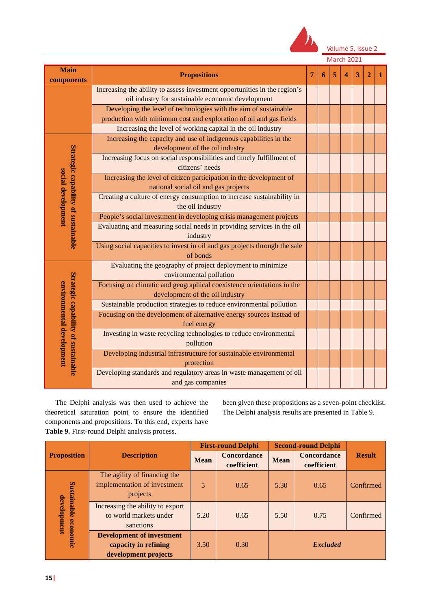

Volume 5, Issue 2

| components                                                                                                                                                                                                                                                                                                                                                                                                                                                                                                                                                                                                                                                                                                                                                                                                                                                                                                                                                                                                                                                                                                                                                                                                                                                                                              | <b>Propositions</b>                                                                                                                    | 7 | 6 | 5 | Δ | 3 | $\overline{2}$ |  |
|---------------------------------------------------------------------------------------------------------------------------------------------------------------------------------------------------------------------------------------------------------------------------------------------------------------------------------------------------------------------------------------------------------------------------------------------------------------------------------------------------------------------------------------------------------------------------------------------------------------------------------------------------------------------------------------------------------------------------------------------------------------------------------------------------------------------------------------------------------------------------------------------------------------------------------------------------------------------------------------------------------------------------------------------------------------------------------------------------------------------------------------------------------------------------------------------------------------------------------------------------------------------------------------------------------|----------------------------------------------------------------------------------------------------------------------------------------|---|---|---|---|---|----------------|--|
|                                                                                                                                                                                                                                                                                                                                                                                                                                                                                                                                                                                                                                                                                                                                                                                                                                                                                                                                                                                                                                                                                                                                                                                                                                                                                                         | Increasing the ability to assess investment opportunities in the region's<br>oil industry for sustainable economic development         |   |   |   |   |   |                |  |
|                                                                                                                                                                                                                                                                                                                                                                                                                                                                                                                                                                                                                                                                                                                                                                                                                                                                                                                                                                                                                                                                                                                                                                                                                                                                                                         | Developing the level of technologies with the aim of sustainable<br>production with minimum cost and exploration of oil and gas fields |   |   |   |   |   |                |  |
| <b>Main</b><br>Increasing the level of working capital in the oil industry<br>Increasing the capacity and use of indigenous capabilities in the<br>development of the oil industry<br>Strategic capability of sustainable<br>Increasing focus on social responsibilities and timely fulfillment of<br>citizens' needs<br>social development<br>Increasing the level of citizen participation in the development of<br>national social oil and gas projects<br>Creating a culture of energy consumption to increase sustainability in<br>the oil industry<br>People's social investment in developing crisis management projects<br>Evaluating and measuring social needs in providing services in the oil<br>industry<br>of bonds<br>Evaluating the geography of project deployment to minimize<br>environmental pollution<br>environmental development<br>Focusing on climatic and geographical coexistence orientations in the<br>development of the oil industry<br>Sustainable production strategies to reduce environmental pollution<br>Focusing on the development of alternative energy sources instead of<br>fuel energy<br>Investing in waste recycling technologies to reduce environmental<br>pollution<br>Developing industrial infrastructure for sustainable environmental<br>protection |                                                                                                                                        |   |   |   |   |   |                |  |
|                                                                                                                                                                                                                                                                                                                                                                                                                                                                                                                                                                                                                                                                                                                                                                                                                                                                                                                                                                                                                                                                                                                                                                                                                                                                                                         |                                                                                                                                        |   |   |   |   |   |                |  |
| Strategic capability of sustainable                                                                                                                                                                                                                                                                                                                                                                                                                                                                                                                                                                                                                                                                                                                                                                                                                                                                                                                                                                                                                                                                                                                                                                                                                                                                     |                                                                                                                                        |   |   |   |   |   |                |  |
|                                                                                                                                                                                                                                                                                                                                                                                                                                                                                                                                                                                                                                                                                                                                                                                                                                                                                                                                                                                                                                                                                                                                                                                                                                                                                                         |                                                                                                                                        |   |   |   |   |   |                |  |
|                                                                                                                                                                                                                                                                                                                                                                                                                                                                                                                                                                                                                                                                                                                                                                                                                                                                                                                                                                                                                                                                                                                                                                                                                                                                                                         |                                                                                                                                        |   |   |   |   |   |                |  |
|                                                                                                                                                                                                                                                                                                                                                                                                                                                                                                                                                                                                                                                                                                                                                                                                                                                                                                                                                                                                                                                                                                                                                                                                                                                                                                         |                                                                                                                                        |   |   |   |   |   |                |  |
|                                                                                                                                                                                                                                                                                                                                                                                                                                                                                                                                                                                                                                                                                                                                                                                                                                                                                                                                                                                                                                                                                                                                                                                                                                                                                                         |                                                                                                                                        |   |   |   |   |   |                |  |
|                                                                                                                                                                                                                                                                                                                                                                                                                                                                                                                                                                                                                                                                                                                                                                                                                                                                                                                                                                                                                                                                                                                                                                                                                                                                                                         | Using social capacities to invest in oil and gas projects through the sale                                                             |   |   |   |   |   |                |  |
|                                                                                                                                                                                                                                                                                                                                                                                                                                                                                                                                                                                                                                                                                                                                                                                                                                                                                                                                                                                                                                                                                                                                                                                                                                                                                                         |                                                                                                                                        |   |   |   |   |   |                |  |
|                                                                                                                                                                                                                                                                                                                                                                                                                                                                                                                                                                                                                                                                                                                                                                                                                                                                                                                                                                                                                                                                                                                                                                                                                                                                                                         |                                                                                                                                        |   |   |   |   |   |                |  |
|                                                                                                                                                                                                                                                                                                                                                                                                                                                                                                                                                                                                                                                                                                                                                                                                                                                                                                                                                                                                                                                                                                                                                                                                                                                                                                         |                                                                                                                                        |   |   |   |   |   |                |  |
|                                                                                                                                                                                                                                                                                                                                                                                                                                                                                                                                                                                                                                                                                                                                                                                                                                                                                                                                                                                                                                                                                                                                                                                                                                                                                                         |                                                                                                                                        |   |   |   |   |   |                |  |
|                                                                                                                                                                                                                                                                                                                                                                                                                                                                                                                                                                                                                                                                                                                                                                                                                                                                                                                                                                                                                                                                                                                                                                                                                                                                                                         |                                                                                                                                        |   |   |   |   |   |                |  |
|                                                                                                                                                                                                                                                                                                                                                                                                                                                                                                                                                                                                                                                                                                                                                                                                                                                                                                                                                                                                                                                                                                                                                                                                                                                                                                         |                                                                                                                                        |   |   |   |   |   |                |  |
|                                                                                                                                                                                                                                                                                                                                                                                                                                                                                                                                                                                                                                                                                                                                                                                                                                                                                                                                                                                                                                                                                                                                                                                                                                                                                                         | Developing standards and regulatory areas in waste management of oil<br>and gas companies                                              |   |   |   |   |   |                |  |

The Delphi analysis was then used to achieve the theoretical saturation point to ensure the identified components and propositions. To this end, experts have **Table 9.** First-round Delphi analysis process.

been given these propositions as a seven-point checklist. The Delphi analysis results are presented in Table 9.

|                    |                                                                                  |             | <b>First-round Delphi</b>         |             | <b>Second-round Delphi</b>        |               |  |
|--------------------|----------------------------------------------------------------------------------|-------------|-----------------------------------|-------------|-----------------------------------|---------------|--|
| <b>Proposition</b> | <b>Description</b>                                                               | <b>Mean</b> | <b>Concordance</b><br>coefficient | <b>Mean</b> | <b>Concordance</b><br>coefficient | <b>Result</b> |  |
| Sustainable        | The agility of financing the<br>implementation of investment<br>projects         | 5           | 0.65                              | 5.30        | 0.65                              | Confirmed     |  |
| development        | Increasing the ability to export<br>to world markets under<br>sanctions          | 5.20        | 0.65                              | 5.50        | 0.75                              | Confirmed     |  |
| economic           | <b>Development of investment</b><br>capacity in refining<br>development projects | 3.50        | 0.30                              |             | <b>Excluded</b>                   |               |  |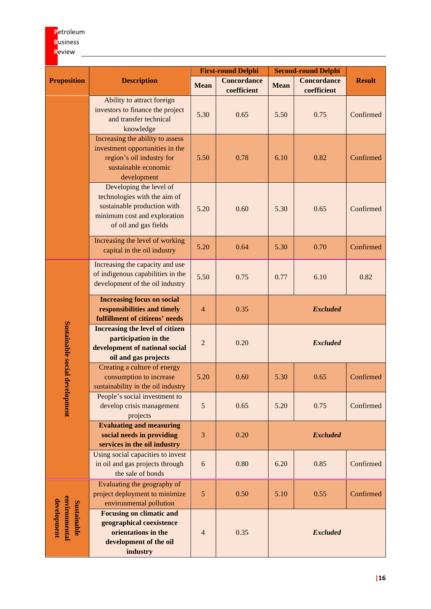# **P**etroleum **B**usiness **R**eview

|                                             |                                                                                                                                                 |                | <b>First-round Delphi</b>         |                 | <b>Second-round Delphi</b>        |               |  |  |
|---------------------------------------------|-------------------------------------------------------------------------------------------------------------------------------------------------|----------------|-----------------------------------|-----------------|-----------------------------------|---------------|--|--|
| <b>Proposition</b>                          | <b>Description</b>                                                                                                                              | <b>Mean</b>    | <b>Concordance</b><br>coefficient | <b>Mean</b>     | <b>Concordance</b><br>coefficient | <b>Result</b> |  |  |
|                                             | Ability to attract foreign<br>investors to finance the project<br>and transfer technical<br>knowledge                                           | 5.30           | 0.65                              | 5.50            | 0.75                              | Confirmed     |  |  |
|                                             | Increasing the ability to assess<br>investment opportunities in the<br>region's oil industry for<br>sustainable economic<br>development         | 5.50           | 0.78                              | 6.10            | 0.82                              | Confirmed     |  |  |
|                                             | Developing the level of<br>technologies with the aim of<br>sustainable production with<br>minimum cost and exploration<br>of oil and gas fields | 5.20           | 0.60                              | 5.30            | 0.65                              | Confirmed     |  |  |
|                                             | Increasing the level of working<br>capital in the oil industry                                                                                  | 5.20           | 0.64                              | 5.30            | 0.70                              | Confirmed     |  |  |
|                                             | Increasing the capacity and use<br>of indigenous capabilities in the<br>development of the oil industry                                         | 5.50           | 0.75                              | 0.77            | 6.10                              | 0.82          |  |  |
|                                             | <b>Increasing focus on social</b><br>responsibilities and timely<br>fulfillment of citizens' needs                                              | $\overline{4}$ | 0.35                              |                 | <b>Excluded</b>                   |               |  |  |
| Sustainable social development              | Increasing the level of citizen<br>participation in the<br>development of national social<br>oil and gas projects                               | $\overline{2}$ | 0.20                              | <b>Excluded</b> |                                   |               |  |  |
|                                             | Creating a culture of energy<br>consumption to increase<br>sustainability in the oil industry                                                   | 5.20           | 0.60                              | 5.30            | 0.65                              | Confirmed     |  |  |
|                                             | People's social investment to<br>develop crisis management<br>projects                                                                          | $\sqrt{5}$     | 0.65                              | 5.20            | 0.75                              | Confirmed     |  |  |
|                                             | <b>Evaluating and measuring</b><br>social needs in providing<br>services in the oil industry                                                    | 3              | 0.20                              |                 | <b>Excluded</b>                   |               |  |  |
|                                             | Using social capacities to invest<br>in oil and gas projects through<br>the sale of bonds                                                       | 6              | 0.80                              | 6.20            | 0.85                              | Confirmed     |  |  |
|                                             | Evaluating the geography of<br>project deployment to minimize<br>environmental pollution                                                        | $\sqrt{5}$     | 0.50                              | 5.10            | 0.55                              | Confirmed     |  |  |
| environmental<br>development<br>Sustainable | <b>Focusing on climatic and</b><br>geographical coexistence<br>orientations in the<br>development of the oil<br>industry                        | $\overline{4}$ | 0.35                              |                 | <b>Excluded</b>                   |               |  |  |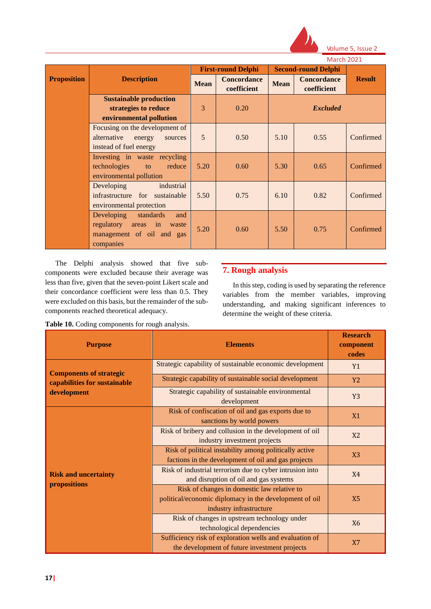

|                    |                                                                                                       | <b>IVIDICII ZUZI</b> |                                   |             |                                   |               |
|--------------------|-------------------------------------------------------------------------------------------------------|----------------------|-----------------------------------|-------------|-----------------------------------|---------------|
|                    |                                                                                                       |                      | <b>First-round Delphi</b>         |             | <b>Second-round Delphi</b>        |               |
| <b>Proposition</b> | <b>Description</b>                                                                                    | <b>Mean</b>          | <b>Concordance</b><br>coefficient | <b>Mean</b> | <b>Concordance</b><br>coefficient | <b>Result</b> |
|                    | <b>Sustainable production</b><br>strategies to reduce<br>environmental pollution                      | 3                    | 0.20                              |             | <b>Excluded</b>                   |               |
|                    | Focusing on the development of<br>alternative<br>energy<br>sources<br>instead of fuel energy          | 5                    | 0.50                              | 5.10        | 0.55                              | Confirmed     |
|                    | Investing in waste recycling<br>technologies<br>reduce<br>to<br>environmental pollution               | 5.20                 | 0.60                              | 5.30        | 0.65                              | Confirmed     |
|                    | industrial<br>Developing<br>infrastructure for sustainable<br>environmental protection                | 5.50                 | 0.75                              | 6.10        | 0.82                              | Confirmed     |
|                    | Developing<br>standards<br>and<br>regulatory areas in waste<br>management of oil and gas<br>companies | 5.20                 | 0.60                              | 5.50        | 0.75                              | Confirmed     |

The Delphi analysis showed that five subcomponents were excluded because their average was less than five, given that the seven-point Likert scale and their concordance coefficient were less than 0.5. They were excluded on this basis, but the remainder of the subcomponents reached theoretical adequacy.

**Table 10.** Coding components for rough analysis.

# **7. Rough analysis**

In this step, coding is used by separating the reference variables from the member variables, improving understanding, and making significant inferences to determine the weight of these criteria.

| <b>Purpose</b>                              | <b>Elements</b>                                                                                                                  | <b>Research</b><br>component<br>codes |  |  |
|---------------------------------------------|----------------------------------------------------------------------------------------------------------------------------------|---------------------------------------|--|--|
| <b>Components of strategic</b>              | Strategic capability of sustainable economic development                                                                         |                                       |  |  |
| capabilities for sustainable                | Strategic capability of sustainable social development                                                                           | <b>Y2</b>                             |  |  |
| development                                 | Strategic capability of sustainable environmental<br>development                                                                 | Y <sub>3</sub>                        |  |  |
|                                             | Risk of confiscation of oil and gas exports due to<br>sanctions by world powers                                                  | X1                                    |  |  |
|                                             | Risk of bribery and collusion in the development of oil<br>industry investment projects                                          | X <sub>2</sub>                        |  |  |
|                                             | Risk of political instability among politically active<br>factions in the development of oil and gas projects                    | X3                                    |  |  |
| <b>Risk and uncertainty</b><br>propositions | Risk of industrial terrorism due to cyber intrusion into<br>and disruption of oil and gas systems                                | <b>X4</b>                             |  |  |
|                                             | Risk of changes in domestic law relative to<br>political/economic diplomacy in the development of oil<br>industry infrastructure | X <sub>5</sub>                        |  |  |
|                                             | Risk of changes in upstream technology under<br>technological dependencies                                                       | X <sub>6</sub>                        |  |  |
|                                             | Sufficiency risk of exploration wells and evaluation of<br>the development of future investment projects                         | X7                                    |  |  |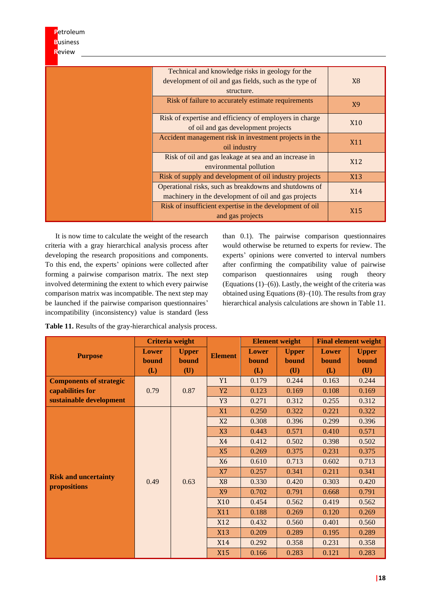| Petroleum       |                                                          |                  |
|-----------------|----------------------------------------------------------|------------------|
| <b>Business</b> |                                                          |                  |
| Review          |                                                          |                  |
|                 |                                                          |                  |
|                 | Technical and knowledge risks in geology for the         |                  |
|                 | development of oil and gas fields, such as the type of   | X <sub>8</sub>   |
|                 | structure.                                               |                  |
|                 | Risk of failure to accurately estimate requirements      | X9               |
|                 |                                                          |                  |
|                 | Risk of expertise and efficiency of employers in charge  | X <sub>10</sub>  |
|                 | of oil and gas development projects                      |                  |
|                 | Accident management risk in investment projects in the   | <b>X11</b>       |
|                 | oil industry                                             |                  |
|                 | Risk of oil and gas leakage at sea and an increase in    | X <sub>12</sub>  |
|                 | environmental pollution                                  |                  |
|                 | Risk of supply and development of oil industry projects  | X <sub>1</sub> 3 |
|                 | Operational risks, such as breakdowns and shutdowns of   | X14              |
|                 | machinery in the development of oil and gas projects     |                  |
|                 | Risk of insufficient expertise in the development of oil | X15              |
|                 | and gas projects                                         |                  |

It is now time to calculate the weight of the research criteria with a gray hierarchical analysis process after developing the research propositions and components. To this end, the experts' opinions were collected after forming a pairwise comparison matrix. The next step involved determining the extent to which every pairwise comparison matrix was incompatible. The next step may be launched if the pairwise comparison questionnaires' incompatibility (inconsistency) value is standard (less

than 0.1). The pairwise comparison questionnaires would otherwise be returned to experts for review. The experts' opinions were converted to interval numbers after confirming the compatibility value of pairwise comparison questionnaires using rough theory (Equations  $(1)$ – $(6)$ ). Lastly, the weight of the criteria was obtained using Equations (8)–(10). The results from gray hierarchical analysis calculations are shown in Table 11.

|                                |              | <b>Criteria</b> weight |                |                | <b>Element weight</b> | <b>Final element weight</b> |              |       |       |  |  |  |  |  |  |  |  |  |  |  |  |  |     |       |       |       |
|--------------------------------|--------------|------------------------|----------------|----------------|-----------------------|-----------------------------|--------------|-------|-------|--|--|--|--|--|--|--|--|--|--|--|--|--|-----|-------|-------|-------|
| <b>Purpose</b>                 | Lower        | <b>Upper</b>           | <b>Element</b> | Lower          | <b>Upper</b>          | <b>Lower</b>                | <b>Upper</b> |       |       |  |  |  |  |  |  |  |  |  |  |  |  |  |     |       |       |       |
|                                | <b>bound</b> | <b>bound</b>           |                | <b>bound</b>   | <b>bound</b>          | <b>bound</b>                | bound        |       |       |  |  |  |  |  |  |  |  |  |  |  |  |  |     |       |       |       |
|                                | (L)          | (U)                    |                | (L)            | (U)                   | (L)                         | (U)          |       |       |  |  |  |  |  |  |  |  |  |  |  |  |  |     |       |       |       |
| <b>Components of strategic</b> |              |                        | Y1             | 0.179          | 0.244                 | 0.163                       | 0.244        |       |       |  |  |  |  |  |  |  |  |  |  |  |  |  |     |       |       |       |
| capabilities for               | 0.79         | 0.87                   | <b>Y2</b>      | 0.123          | 0.169                 | 0.108                       | 0.169        |       |       |  |  |  |  |  |  |  |  |  |  |  |  |  |     |       |       |       |
| sustainable development        |              |                        | Y3             | 0.271          | 0.312                 | 0.255                       | 0.312        |       |       |  |  |  |  |  |  |  |  |  |  |  |  |  |     |       |       |       |
|                                |              |                        | X1             | 0.250          | 0.322                 | 0.221                       | 0.322        |       |       |  |  |  |  |  |  |  |  |  |  |  |  |  |     |       |       |       |
|                                |              |                        | X2             | 0.308          | 0.396                 | 0.299                       | 0.396        |       |       |  |  |  |  |  |  |  |  |  |  |  |  |  |     |       |       |       |
|                                |              |                        | X3             | 0.443          | 0.571                 | 0.410                       | 0.571        |       |       |  |  |  |  |  |  |  |  |  |  |  |  |  |     |       |       |       |
|                                |              |                        | <b>X4</b>      | 0.412          | 0.502                 | 0.398                       | 0.502        |       |       |  |  |  |  |  |  |  |  |  |  |  |  |  |     |       |       |       |
|                                |              |                        | X <sub>5</sub> | 0.269          | 0.375                 | 0.231                       | 0.375        |       |       |  |  |  |  |  |  |  |  |  |  |  |  |  |     |       |       |       |
|                                |              |                        |                | X <sub>6</sub> | 0.610                 | 0.713                       | 0.602        | 0.713 |       |  |  |  |  |  |  |  |  |  |  |  |  |  |     |       |       |       |
| <b>Risk and uncertainty</b>    |              |                        | <b>X7</b>      | 0.257          | 0.341                 | 0.211                       | 0.341        |       |       |  |  |  |  |  |  |  |  |  |  |  |  |  |     |       |       |       |
| propositions                   | 0.49         | 0.63                   | <b>X8</b>      | 0.330          | 0.420                 | 0.303                       | 0.420        |       |       |  |  |  |  |  |  |  |  |  |  |  |  |  |     |       |       |       |
|                                |              |                        | <b>X9</b>      | 0.702          | 0.791                 | 0.668                       | 0.791        |       |       |  |  |  |  |  |  |  |  |  |  |  |  |  |     |       |       |       |
|                                |              |                        | X10            | 0.454          | 0.562                 | 0.419                       | 0.562        |       |       |  |  |  |  |  |  |  |  |  |  |  |  |  |     |       |       |       |
|                                |              |                        |                |                | X11                   | 0.188                       | 0.269        | 0.120 | 0.269 |  |  |  |  |  |  |  |  |  |  |  |  |  |     |       |       |       |
|                                |              |                        | X12            | 0.432          | 0.560                 | 0.401                       | 0.560        |       |       |  |  |  |  |  |  |  |  |  |  |  |  |  |     |       |       |       |
|                                |              |                        | X13            | 0.209          | 0.289                 | 0.195                       | 0.289        |       |       |  |  |  |  |  |  |  |  |  |  |  |  |  |     |       |       |       |
|                                |              |                        |                |                |                       |                             |              |       |       |  |  |  |  |  |  |  |  |  |  |  |  |  | X14 | 0.292 | 0.358 | 0.231 |
|                                |              |                        | X15            | 0.166          | 0.283                 | 0.121                       | 0.283        |       |       |  |  |  |  |  |  |  |  |  |  |  |  |  |     |       |       |       |

**Table 11.** Results of the gray-hierarchical analysis process.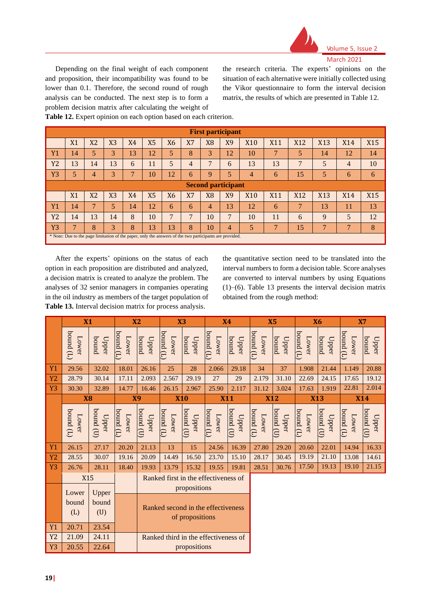

Depending on the final weight of each component and proposition, their incompatibility was found to be lower than 0.1. Therefore, the second round of rough analysis can be conducted. The next step is to form a problem decision matrix after calculating the weight of the research criteria. The experts' opinions on the situation of each alternative were initially collected using the Vikor questionnaire to form the interval decision matrix, the results of which are presented in Table 12.

|  |  |  |  |  | Table 12. Expert opinion on each option based on each criterion. |  |
|--|--|--|--|--|------------------------------------------------------------------|--|
|  |  |  |  |  |                                                                  |  |

|                | <b>First participant</b>  |                |                |    |                |                                                                                                         |    |                |              |                 |     |                 |              |     |                 |
|----------------|---------------------------|----------------|----------------|----|----------------|---------------------------------------------------------------------------------------------------------|----|----------------|--------------|-----------------|-----|-----------------|--------------|-----|-----------------|
|                | X1                        | X <sub>2</sub> | X3             | X4 | X <sub>5</sub> | X <sub>6</sub>                                                                                          | X7 | X <sub>8</sub> | X9           | X <sub>10</sub> | X11 | X <sub>12</sub> | X13          | X14 | X <sub>15</sub> |
| Y1             | 14                        | 5              | 3              | 13 | 12             | 5                                                                                                       | 8  | 3              | 12           | 10              |     | 5               | 14           | 12  | 14              |
| Y <sub>2</sub> | 13                        | 14             | 13             | 6  | 11             | 5                                                                                                       | 4  | $\overline{7}$ | 6            | 13              | 13  | 7               | 5            | 4   | 10              |
| Y <sub>3</sub> | 5                         | 4              | 3              |    | 10             | 12                                                                                                      | 6  | 9              | 5            | 4               | 6   | 15              | 5            | 6   | 6               |
|                | <b>Second participant</b> |                |                |    |                |                                                                                                         |    |                |              |                 |     |                 |              |     |                 |
|                | X1                        | X <sub>2</sub> | X <sub>3</sub> | X4 | X <sub>5</sub> | <b>X6</b>                                                                                               | X7 | X <sub>8</sub> | X9           | X <sub>10</sub> | X11 | <b>X12</b>      | <b>X13</b>   | X14 | X <sub>15</sub> |
| Y1             | 14                        |                | 5              | 14 | 12             | 6                                                                                                       | 6  | 4              | 13           | 12              | 6   |                 | 13           | 11  | 13              |
| <b>Y2</b>      | 14                        | 13             | 14             | 8  | 10             | $\overline{7}$                                                                                          | 7  | 10             | $\mathbf{r}$ | 10              | 11  | 6               | 9            | 5   | 12              |
| Y <sub>3</sub> | $\mathbf{r}$              | 8              | 3              | 8  | 13             | 13                                                                                                      | 8  | 10             | 4            | 5               | Ξ   | 15              | $\mathbf{r}$ |     | 8               |
|                |                           |                |                |    |                | * Note: Due to the page limitation of the paper, only the answers of the two participants are provided. |    |                |              |                 |     |                 |              |     |                 |

After the experts' opinions on the status of each option in each proposition are distributed and analyzed, a decision matrix is created to analyze the problem. The analyses of 32 senior managers in companies operating in the oil industry as members of the target population of **Table 13.** Interval decision matrix for process analysis.

the quantitative section need to be translated into the interval numbers to form a decision table. Score analyses are converted to interval numbers by using Equations (1)–(6). Table 13 presents the interval decision matrix obtained from the rough method:

|                | X1                    |                       | <b>X2</b>           |                                                      | X3                                   |                                    | <b>X4</b>          |                    | <b>X5</b>         |                                             | <b>X6</b>                    |                                            | <b>X7</b>              |                       |
|----------------|-----------------------|-----------------------|---------------------|------------------------------------------------------|--------------------------------------|------------------------------------|--------------------|--------------------|-------------------|---------------------------------------------|------------------------------|--------------------------------------------|------------------------|-----------------------|
|                | (T) punoq<br>Lower    | buund<br>Upper        | $P^{quad}$<br>Lower | punoq<br>Upper                                       | $(1)$ punoq<br>Lower                 | bunod<br>Upper                     | bound(L)<br>Lower  | bund<br>Upper      | bound(L)<br>Lower | bunod<br>Upper                              | (T) punoq<br>Lower           | bound<br>Upper                             | $P^{1}$<br>Lower       | bound<br>Upper        |
| <b>Y1</b>      | 29.56                 | 32.02                 | 18.01               | 26.16                                                | 25                                   | 28                                 | 2.066              | 29.18              | 34                | 37                                          | 1.908                        | 21.44                                      | 1.149                  | 20.88                 |
| Y <sub>2</sub> | 28.79                 | 30.14                 | 17.11               | 2.093                                                | 2.567                                | 29.19                              | 27                 | 29                 | 2.179             | 31.10                                       | 22.69                        | 24.15                                      | 17.65                  | 19.12                 |
| Y <sub>3</sub> | 30.30                 | 32.89                 | 14.77               | 16.46                                                | 26.15                                | 2.967                              | 25.90              | 2.117              | 31.12             | 3.024                                       | 17.63                        | 1.919                                      | 22.81                  | 2.014                 |
|                | <b>X8</b>             |                       | <b>X9</b>           |                                                      | <b>X10</b>                           |                                    | <b>X11</b>         |                    | <b>X12</b>        |                                             | <b>X13</b>                   |                                            | <b>X14</b>             |                       |
|                | $(1)$ punoq<br>Lower  | bound (U)<br>Upper    | bound (L)<br>Lower  | bound (U)<br>$\mathbf{U}$ pper                       | $(1)$ punoq<br>Lower                 | $\overline{\text{binom}}$<br>Upper | bound (L)<br>Lower | bound (U)<br>Upper | bound(L)<br>Lower | $\overline{b}$ ound $\overline{c}$<br>Upper | $\frac{1}{2}$ punoq<br>Lower | $\overline{\text{bound}}$<br>$\Omega$ pper | $binom{d}{k}$<br>Lower | bound (U)<br>$U$ pper |
| <b>Y1</b>      | 26.15                 | 27.17                 | 20.20               | 21.13                                                | 13                                   | 15                                 | 24.56              | 16.39              | 27.80             | 29.20                                       | 20.60                        | 22.01                                      | 14.94                  | 16.33                 |
| Y <sub>2</sub> | 28.55                 | 30.07                 | 19.16               | 20.09                                                | 14.49                                | 16.50                              | 23.70              | 15.10              | 28.17             | 30.45                                       | 19.19                        | 21.10                                      | 13.08                  | 14.61                 |
| Y <sub>3</sub> | 26.76                 | 28.11                 | 18.40               | 19.93                                                | 13.79                                | 15.32                              | 19.55              | 19.81              | 28.51             | 30.76                                       | 17.50                        | 19.13                                      | 19.10                  | 21.15                 |
|                | X15                   |                       |                     | Ranked first in the effectiveness of<br>propositions |                                      |                                    |                    |                    |                   |                                             |                              |                                            |                        |                       |
|                | Lower<br>bound<br>(L) | Upper<br>bound<br>(U) |                     |                                                      | Ranked second in the effectiveness   | of propositions                    |                    |                    |                   |                                             |                              |                                            |                        |                       |
| <b>Y1</b>      | 20.71                 | 23.54                 |                     |                                                      |                                      |                                    |                    |                    |                   |                                             |                              |                                            |                        |                       |
| <b>Y2</b>      | 21.09                 | 24.11                 |                     |                                                      | Ranked third in the effectiveness of |                                    |                    |                    |                   |                                             |                              |                                            |                        |                       |
| Y <sub>3</sub> | 20.55                 | 22.64                 |                     |                                                      |                                      | propositions                       |                    |                    |                   |                                             |                              |                                            |                        |                       |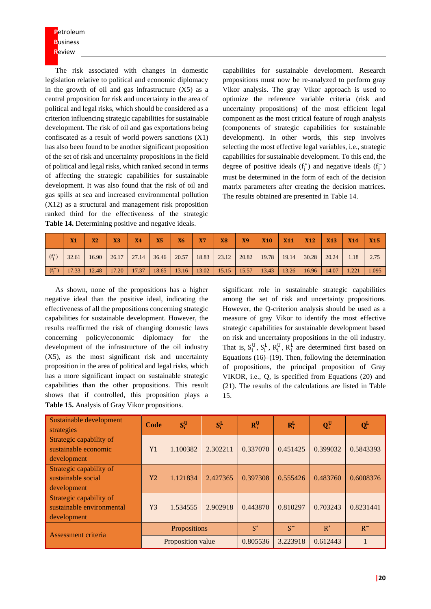The risk associated with changes in domestic legislation relative to political and economic diplomacy in the growth of oil and gas infrastructure (X5) as a central proposition for risk and uncertainty in the area of political and legal risks, which should be considered as a criterion influencing strategic capabilities for sustainable development. The risk of oil and gas exportations being confiscated as a result of world powers sanctions (X1) has also been found to be another significant proposition of the set of risk and uncertainty propositions in the field of political and legal risks, which ranked second in terms of affecting the strategic capabilities for sustainable development. It was also found that the risk of oil and gas spills at sea and increased environmental pollution (X12) as a structural and management risk proposition ranked third for the effectiveness of the strategic Table 14. Determining positive and negative ideals.

capabilities for sustainable development. Research propositions must now be re-analyzed to perform gray Vikor analysis. The gray Vikor approach is used to optimize the reference variable criteria (risk and uncertainty propositions) of the most efficient legal component as the most critical feature of rough analysis (components of strategic capabilities for sustainable development). In other words, this step involves selecting the most effective legal variables, i.e., strategic capabilities for sustainable development. To this end, the degree of positive ideals  $(f_j^*)$  and negative ideals  $(f_j^-)$ must be determined in the form of each of the decision matrix parameters after creating the decision matrices. The results obtained are presented in Table 14.

|           | X1 | X2 | X3 | X4 | <b>X5</b> | <b>X6</b> | X7 | X8 |  |  |                                                                                                                                                                                                                                   |  |
|-----------|----|----|----|----|-----------|-----------|----|----|--|--|-----------------------------------------------------------------------------------------------------------------------------------------------------------------------------------------------------------------------------------|--|
| $(f_i^*)$ |    |    |    |    |           |           |    |    |  |  | 32.61   16.90   26.17   27.14   36.46   20.57   18.83   23.12   20.82   19.78   19.14   30.28   20.24   1.18   2.75                                                                                                               |  |
|           |    |    |    |    |           |           |    |    |  |  | $\lceil (f_i^-) \rceil$ 17.33 $\lceil 12.48 \rceil$ 17.20 $\lceil 17.37 \rceil$ 18.65 $\lceil 13.16 \rceil$ 13.02 $\lceil 15.15 \rceil$ 15.57 $\lceil 13.43 \rceil$ 13.26 $\lceil 16.96 \rceil$ 14.07 $\lceil 1.221 \rceil$ 1.095 |  |

As shown, none of the propositions has a higher negative ideal than the positive ideal, indicating the effectiveness of all the propositions concerning strategic capabilities for sustainable development. However, the results reaffirmed the risk of changing domestic laws concerning policy/economic diplomacy for the development of the infrastructure of the oil industry (X5), as the most significant risk and uncertainty proposition in the area of political and legal risks, which has a more significant impact on sustainable strategic capabilities than the other propositions. This result shows that if controlled, this proposition plays a **Table 15.** Analysis of Gray Vikor propositions.

significant role in sustainable strategic capabilities among the set of risk and uncertainty propositions. However, the Q-criterion analysis should be used as a measure of gray Vikor to identify the most effective strategic capabilities for sustainable development based on risk and uncertainty propositions in the oil industry. That is,  $S_i^U$ ,  $S_i^L$ ,  $R_i^U$ ,  $R_i^L$  are determined first based on Equations  $(16)$ – $(19)$ . Then, following the determination of propositions, the principal proposition of Gray VIKOR, i.e., Q, is specified from Equations (20) and (21). The results of the calculations are listed in Table 15.

| Sustainable development<br>strategies                               | Code      | $S_i^U$           | $S_i^L$  | $R_i^U$  | $R_i^L$  | $Q_i^U$  | $Q_i^L$   |
|---------------------------------------------------------------------|-----------|-------------------|----------|----------|----------|----------|-----------|
| Strategic capability of<br>sustainable economic<br>development      | Y1        | 1.100382          | 2.302211 | 0.337070 | 0.451425 | 0.399032 | 0.5843393 |
| Strategic capability of<br>sustainable social<br>development        | <b>Y2</b> | 1.121834          | 2.427365 | 0.397308 | 0.555426 | 0.483760 | 0.6008376 |
| Strategic capability of<br>sustainable environmental<br>development | Y3        | 1.534555          | 2.902918 | 0.443870 | 0.810297 | 0.703243 | 0.8231441 |
| Assessment criteria                                                 |           | Propositions      |          | $S^*$    | $S^-$    | $R^*$    | $R^-$     |
|                                                                     |           | Proposition value |          | 0.805536 | 3.223918 | 0.612443 |           |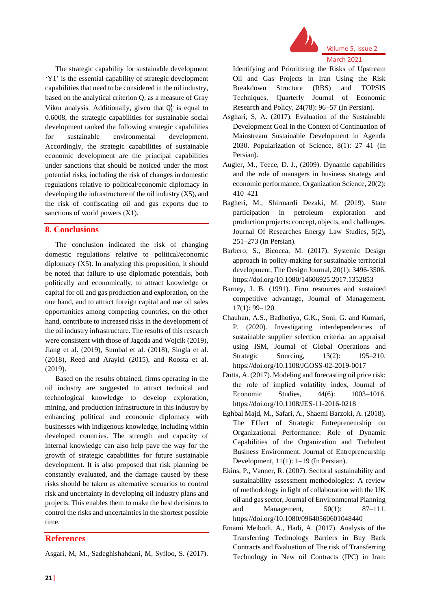

The strategic capability for sustainable development 'Y1' is the essential capability of strategic development capabilities that need to be considered in the oil industry, based on the analytical criterion Q, as a measure of Gray Vikor analysis. Additionally, given that  $Q_i^L$  is equal to 0.6008, the strategic capabilities for sustainable social development ranked the following strategic capabilities for sustainable environmental development. Accordingly, the strategic capabilities of sustainable economic development are the principal capabilities under sanctions that should be noticed under the most potential risks, including the risk of changes in domestic regulations relative to political/economic diplomacy in developing the infrastructure of the oil industry (X5), and the risk of confiscating oil and gas exports due to sanctions of world powers (X1).

### **8. Conclusions**

The conclusion indicated the risk of changing domestic regulations relative to political/economic diplomacy (X5). In analyzing this proposition, it should be noted that failure to use diplomatic potentials, both politically and economically, to attract knowledge or capital for oil and gas production and exploration, on the one hand, and to attract foreign capital and use oil sales opportunities among competing countries, on the other hand, contribute to increased risks in the development of the oil industry infrastructure. The results of this research were consistent with those of Jagoda and Wojcik (2019), Jiang et al. (2019), Sumbal et al. (2018), Singla et al. (2018), Reed and Arayici (2015), and Roosta et al. (2019).

Based on the results obtained, firms operating in the oil industry are suggested to attract technical and technological knowledge to develop exploration, mining, and production infrastructure in this industry by enhancing political and economic diplomacy with businesses with indigenous knowledge, including within developed countries. The strength and capacity of internal knowledge can also help pave the way for the growth of strategic capabilities for future sustainable development. It is also proposed that risk planning be constantly evaluated, and the damage caused by these risks should be taken as alternative scenarios to control risk and uncertainty in developing oil industry plans and projects. This enables them to make the best decisions to control the risks and uncertainties in the shortest possible time.

#### **References**

Asgari, M, M., Sadeghishahdani, M, Syfloo, S. (2017).

Identifying and Prioritizing the Risks of Upstream Oil and Gas Projects in Iran Using the Risk Breakdown Structure (RBS) and TOPSIS Techniques, Quarterly Journal of Economic Research and Policy, 24(78): 96–57 (In Persian).

- Asghari, S, A. (2017). Evaluation of the Sustainable Development Goal in the Context of Continuation of Mainstream Sustainable Development in Agenda 2030. Popularization of Science, 8(1): 27–41 (In Persian).
- Augier, M., Teece, D. J., (2009). Dynamic capabilities and the role of managers in business strategy and economic performance, Organization Science, 20(2): 410–421
- Bagheri, M., Shirmardi Dezaki, M. (2019). State participation in petroleum exploration and production projects: concept, objects, and challenges. Journal Of Researches Energy Law Studies, 5(2), 251–273 (In Persian).
- Barbero, S., Bicocca, M. (2017). Systemic Design approach in policy-making for sustainable territorial development, The Design Journal, 20(1): 3496-3506. https://doi.org/10.1080/14606925.2017.1352853
- Barney, J. B. (1991). Firm resources and sustained competitive advantage, Journal of Management, 17(1): 99–120.
- Chauhan, A.S., Badhotiya, G.K., Soni, G. and Kumari, P. (2020). Investigating interdependencies of sustainable supplier selection criteria: an appraisal using ISM, Journal of Global Operations and Strategic Sourcing, 13(2): 195–210. https://doi.org/10.1108/JGOSS-02-2019-0017
- Dutta, A. (2017). Modeling and forecasting oil price risk: the role of implied volatility index, Journal of Economic Studies, 44(6): 1003–1016. https://doi.org/10.1108/JES-11-2016-0218
- Eghbal Majd, M., Safari, A., Shaemi Barzoki, A. (2018). The Effect of Strategic Entrepreneurship on Organizational Performance: Role of Dynamic Capabilities of the Organization and Turbulent Business Environment. Journal of Entrepreneurship Development, 11(1): 1–19 (In Persian).
- Ekins, P., Vanner, R. (2007). Sectoral sustainability and sustainability assessment methodologies: A review of methodology in light of collaboration with the UK oil and gas sector, Journal of Environmental Planning and Management, 50(1): 87–111. https://doi.org/10.1080/09640560601048440
- Emami Meibodi, A., Hadi, A. (2017). Analysis of the Transferring Technology Barriers in Buy Back Contracts and Evaluation of The risk of Transferring Technology in New oil Contracts (IPC) in Iran: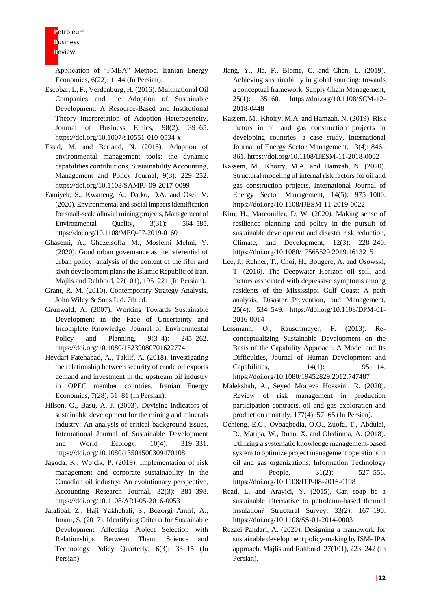Application of "FMEA" Method. Iranian Energy Economics, 6(22): 1–44 (In Persian).

- Escobar, L, F., Verdenburg, H. (2016). Multinational Oil Companies and the Adoption of Sustainable Development: A Resource-Based and Institutional Theory Interpretation of Adoption Heterogeneity, Journal of Business Ethics, 98(2): 39–65. https://doi.org/10.1007/s10551-010-0534-x
- Essid, M. and Berland, N. (2018). Adoption of environmental management tools: the dynamic capabilities contributions, Sustainability Accounting, Management and Policy Journal, 9(3): 229–252. https://doi.org/10.1108/SAMPJ-09-2017-0099
- Famiyeh, S., Kwarteng, A., Darko, D.A. and Osei, V. (2020). Environmental and social impacts identification for small-scale alluvial mining projects, Management of Environmental Quality, 3(31): 564–585. <https://doi.org/10.1108/MEQ-07-2019-0160>
- Ghasemi, A., Ghezelsofla, M., Moslemi Mehni, Y. (2020). Good urban governance as the referential of urban policy: analysis of the content of the fifth and sixth development plans the Islamic Republic of Iran. Majlis and Rahbord, 27(101), 195–221 (In Persian).
- Grant, R. M. (2010). Contemporary Strategy Analysis, John Wiley & Sons Ltd. 7th ed.
- Grunwald, A. (2007). Working Towards Sustainable Development in the Face of Uncertainty and Incomplete Knowledge, Journal of Environmental Policy and Planning, 9(3–4): 245–262. https://doi.org/10.1080/15239080701622774
- Heydari Fatehabad, A., Taklif, A. (2018). Investigating the relationship between security of crude oil exports demand and investment in the upstream oil industry in OPEC member countries. Iranian Energy Economics, 7(28), 51–81 (In Persian).
- Hilson, G., Basu, A, J. (2003). Devising indicators of sustainable development for the mining and minerals industry: An analysis of critical background issues, International Journal of Sustainable Development and World Ecology, 10(4): 319–331. https://doi.org/10.1080/13504500309470108
- Jagoda, K., Wojcik, P. (2019). Implementation of risk management and corporate sustainability in the Canadian oil industry: An evolutionary perspective, Accounting Research Journal, 32(3): 381–398. https://doi.org/10.1108/ARJ-05-2016-0053
- Jalalibal, Z., Haji Yakhchali, S., Bozorgi Amiri, A., Imani, S. (2017). Identifying Criteria for Sustainable Development Affecting Project Selection with Relationships Between Them, Science and Technology Policy Quarterly, 6(3): 33–15 (In Persian).
- Jiang, Y., Jia, F., Blome, C. and Chen, L. (2019). Achieving sustainability in global sourcing: towards a conceptual framework, Supply Chain Management, 25(1): 35–60. https://doi.org/10.1108/SCM-12- 2018-0448
- Kassem, M., Khoiry, M.A. and Hamzah, N. (2019). Risk factors in oil and gas construction projects in developing countries: a case study, International Journal of Energy Sector Management, 13(4): 846– 861. https://doi.org/10.1108/IJESM-11-2018-0002
- Kassem, M., Khoiry, M.A. and Hamzah, N. (2020). Structural modeling of internal risk factors for oil and gas construction projects, International Journal of Energy Sector Management, 14(5): 975–1000. <https://doi.org/10.1108/IJESM-11-2019-0022>
- Kim, H., Marcouiller, D, W. (2020). Making sense of resilience planning and policy in the pursuit of sustainable development and disaster risk reduction, Climate, and Development, 12(3): 228–240. https://doi.org/10.1080/17565529.2019.1613215
- Lee, J., Rehner, T., Choi, H., Bougere, A. and Osowski, T. (2016). The Deepwater Horizon oil spill and factors associated with depressive symptoms among residents of the Mississippi Gulf Coast: A path analysis, Disaster Prevention, and Management, 25(4): 534–549. [https://doi.org/10.1108/DPM-01-](https://doi.org/10.1108/DPM-01-2016-0014) [2016-0014](https://doi.org/10.1108/DPM-01-2016-0014)
- Lessmann, O., Rauschmayer, F. (2013). Reconceptualizing Sustainable Development on the Basis of the Capability Approach: A Model and Its Difficulties, Journal of Human Development and Capabilities, 14(1): 95–114. https://doi.org/10.1080/19452829.2012.747487
- Malekshah, A., Seyed Morteza Hosseini, R. (2020). Review of risk management in production participation contracts, oil and gas exploration and production monthly, 177(4): 57–65 (In Persian).
- Ochieng, E.G., Ovbagbedia, O.O., Zuofa, T., Abdulai, R., Matipa, W., Ruan, X. and Oledinma, A. (2018). Utilizing a systematic knowledge management-based system to optimize project management operations in oil and gas organizations, Information Technology and People,  $31(2)$ : 527–556. https://doi.org/10.1108/ITP-08-2016-0198
- Read, L. and Arayici, Y. (2015). Can soap be a sustainable alternative to petroleum-based thermal insulation? Structural Survey, 33(2): 167–190. https://doi.org/10.1108/SS-01-2014-0003
- Rezaei Pandari, A. (2020). Designing a framework for sustainable development policy-making by ISM- IPA approach. Majlis and Rahbord, 27(101), 223–242 (In Persian).